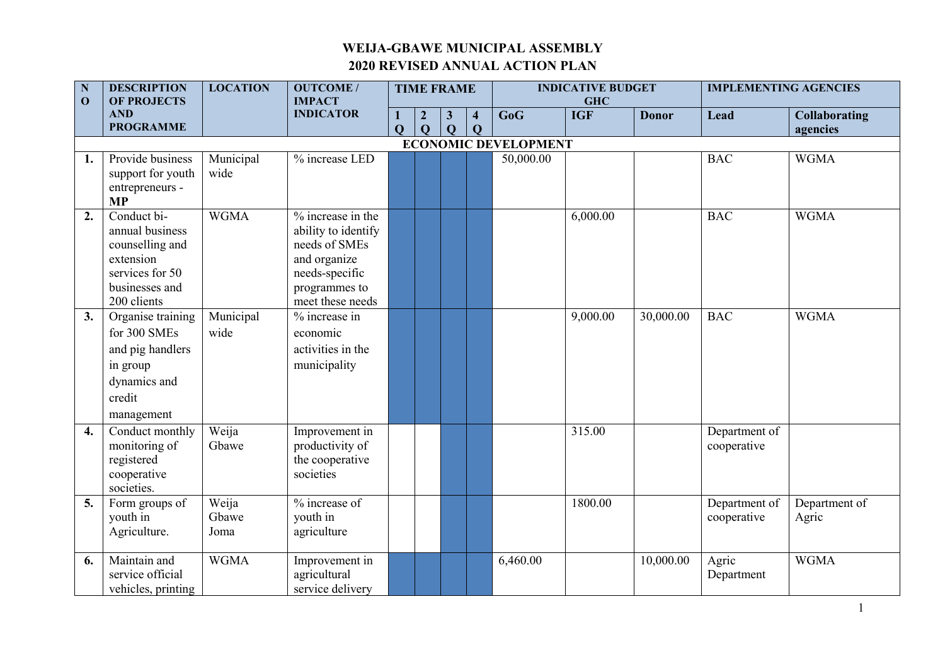| $\mathbf N$<br>$\mathbf{0}$ | <b>DESCRIPTION</b><br><b>OF PROJECTS</b>                                                                           | <b>LOCATION</b>        | <b>OUTCOME/</b><br><b>IMPACT</b>                                                                                                   |                     |                                 | <b>TIME FRAME</b>            |                                        |                             | <b>INDICATIVE BUDGET</b><br><b>GHC</b> |              | <b>IMPLEMENTING AGENCIES</b> |                                  |
|-----------------------------|--------------------------------------------------------------------------------------------------------------------|------------------------|------------------------------------------------------------------------------------------------------------------------------------|---------------------|---------------------------------|------------------------------|----------------------------------------|-----------------------------|----------------------------------------|--------------|------------------------------|----------------------------------|
|                             | <b>AND</b><br><b>PROGRAMME</b>                                                                                     |                        | <b>INDICATOR</b>                                                                                                                   | 1<br>$\overline{Q}$ | $\boldsymbol{2}$<br>$\mathbf Q$ | $\mathbf{3}$<br>$\mathbf{Q}$ | $\overline{\mathbf{4}}$<br>$\mathbf Q$ | GoG                         | <b>IGF</b>                             | <b>Donor</b> | Lead                         | <b>Collaborating</b><br>agencies |
|                             |                                                                                                                    |                        |                                                                                                                                    |                     |                                 |                              |                                        | <b>ECONOMIC DEVELOPMENT</b> |                                        |              |                              |                                  |
| 1.                          | Provide business<br>support for youth<br>entrepreneurs -<br><b>MP</b>                                              | Municipal<br>wide      | % increase LED                                                                                                                     |                     |                                 |                              |                                        | 50,000.00                   |                                        |              | <b>BAC</b>                   | <b>WGMA</b>                      |
| 2.                          | Conduct bi-<br>annual business<br>counselling and<br>extension<br>services for 50<br>businesses and<br>200 clients | <b>WGMA</b>            | $%$ increase in the<br>ability to identify<br>needs of SMEs<br>and organize<br>needs-specific<br>programmes to<br>meet these needs |                     |                                 |                              |                                        |                             | 6,000.00                               |              | <b>BAC</b>                   | <b>WGMA</b>                      |
| 3.                          | Organise training<br>for 300 SMEs<br>and pig handlers<br>in group<br>dynamics and<br>credit<br>management          | Municipal<br>wide      | % increase in<br>economic<br>activities in the<br>municipality                                                                     |                     |                                 |                              |                                        |                             | 9,000.00                               | 30,000.00    | <b>BAC</b>                   | <b>WGMA</b>                      |
| 4.                          | Conduct monthly<br>monitoring of<br>registered<br>cooperative<br>societies.                                        | Weija<br>Gbawe         | Improvement in<br>productivity of<br>the cooperative<br>societies                                                                  |                     |                                 |                              |                                        |                             | 315.00                                 |              | Department of<br>cooperative |                                  |
| 5.                          | Form groups of<br>youth in<br>Agriculture.                                                                         | Weija<br>Gbawe<br>Joma | % increase of<br>youth in<br>agriculture                                                                                           |                     |                                 |                              |                                        |                             | 1800.00                                |              | Department of<br>cooperative | Department of<br>Agric           |
| 6.                          | Maintain and<br>service official<br>vehicles, printing                                                             | <b>WGMA</b>            | Improvement in<br>agricultural<br>service delivery                                                                                 |                     |                                 |                              |                                        | 6,460.00                    |                                        | 10,000.00    | Agric<br>Department          | <b>WGMA</b>                      |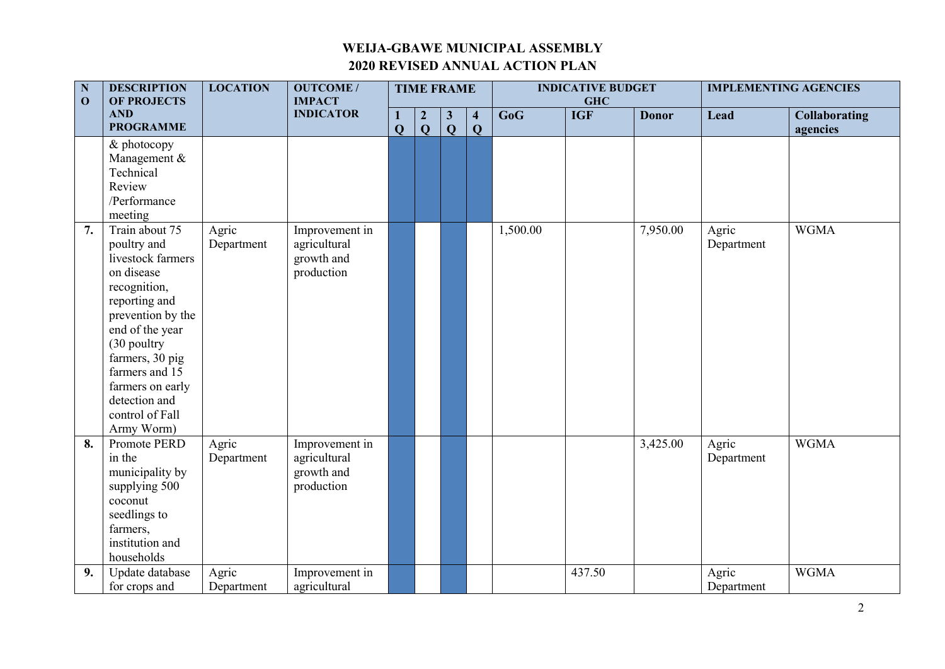| $\mathbf N$<br>$\mathbf{O}$ | <b>DESCRIPTION</b><br><b>OF PROJECTS</b>                                                                                                                                                                                                                                  | <b>LOCATION</b>     | <b>OUTCOME/</b><br><b>IMPACT</b>                           |                            | <b>TIME FRAME</b>              |                              |                                         | <b>INDICATIVE BUDGET</b><br><b>GHC</b> |            |              | <b>IMPLEMENTING AGENCIES</b> |                                  |
|-----------------------------|---------------------------------------------------------------------------------------------------------------------------------------------------------------------------------------------------------------------------------------------------------------------------|---------------------|------------------------------------------------------------|----------------------------|--------------------------------|------------------------------|-----------------------------------------|----------------------------------------|------------|--------------|------------------------------|----------------------------------|
|                             | <b>AND</b><br><b>PROGRAMME</b>                                                                                                                                                                                                                                            |                     | <b>INDICATOR</b>                                           | $\bf{1}$<br>$\overline{Q}$ | $\overline{2}$<br>$\mathbf{Q}$ | $\mathbf{3}$<br>$\mathbf{Q}$ | $\overline{\mathbf{4}}$<br>$\mathbf{Q}$ | GoG                                    | <b>IGF</b> | <b>Donor</b> | Lead                         | <b>Collaborating</b><br>agencies |
|                             | & photocopy<br>Management &<br>Technical<br>Review<br>/Performance<br>meeting                                                                                                                                                                                             |                     |                                                            |                            |                                |                              |                                         |                                        |            |              |                              |                                  |
|                             | 7.<br>Train about 75<br>poultry and<br>livestock farmers<br>on disease<br>recognition,<br>reporting and<br>prevention by the<br>end of the year<br>(30 poultry<br>farmers, 30 pig<br>farmers and 15<br>farmers on early<br>detection and<br>control of Fall<br>Army Worm) | Agric<br>Department | Improvement in<br>agricultural<br>growth and<br>production |                            |                                |                              |                                         | 1,500.00                               |            | 7,950.00     | Agric<br>Department          | <b>WGMA</b>                      |
|                             | 8.<br>Promote PERD<br>in the<br>municipality by<br>supplying 500<br>coconut<br>seedlings to<br>farmers,<br>institution and<br>households                                                                                                                                  | Agric<br>Department | Improvement in<br>agricultural<br>growth and<br>production |                            |                                |                              |                                         |                                        |            | 3,425.00     | Agric<br>Department          | <b>WGMA</b>                      |
|                             | 9.<br>Update database<br>for crops and                                                                                                                                                                                                                                    | Agric<br>Department | Improvement in<br>agricultural                             |                            |                                |                              |                                         |                                        | 437.50     |              | Agric<br>Department          | <b>WGMA</b>                      |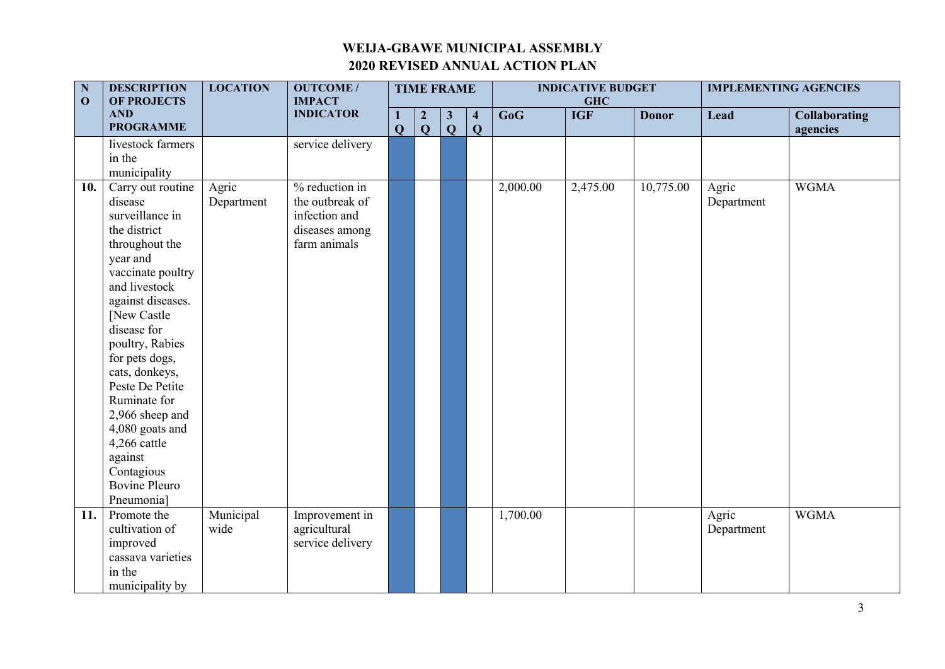| $\mathbf N$<br>$\mathbf{O}$ | <b>DESCRIPTION</b><br><b>OF PROJECTS</b>                                                                                                                                                                                                                                                                                                                                                       | <b>LOCATION</b>     | <b>OUTCOME/</b><br><b>IMPACT</b>                                                     |                              | <b>TIME FRAME</b>                |                              |                                         |          | <b>INDICATIVE BUDGET</b><br><b>GHC</b> |              | <b>IMPLEMENTING AGENCIES</b> |                                  |
|-----------------------------|------------------------------------------------------------------------------------------------------------------------------------------------------------------------------------------------------------------------------------------------------------------------------------------------------------------------------------------------------------------------------------------------|---------------------|--------------------------------------------------------------------------------------|------------------------------|----------------------------------|------------------------------|-----------------------------------------|----------|----------------------------------------|--------------|------------------------------|----------------------------------|
|                             | <b>AND</b><br><b>PROGRAMME</b>                                                                                                                                                                                                                                                                                                                                                                 |                     | <b>INDICATOR</b>                                                                     | $\mathbf{1}$<br>$\mathbf{Q}$ | $\boldsymbol{2}$<br>$\mathbf{Q}$ | $\mathbf{3}$<br>$\mathbf{Q}$ | $\overline{\mathbf{4}}$<br>$\mathbf{Q}$ | GoG      | <b>IGF</b>                             | <b>Donor</b> | Lead                         | <b>Collaborating</b><br>agencies |
|                             | livestock farmers<br>in the<br>municipality                                                                                                                                                                                                                                                                                                                                                    |                     | service delivery                                                                     |                              |                                  |                              |                                         |          |                                        |              |                              |                                  |
|                             | Carry out routine<br>10.<br>disease<br>surveillance in<br>the district<br>throughout the<br>year and<br>vaccinate poultry<br>and livestock<br>against diseases.<br>[New Castle<br>disease for<br>poultry, Rabies<br>for pets dogs,<br>cats, donkeys,<br>Peste De Petite<br>Ruminate for<br>2,966 sheep and<br>4,080 goats and<br>4,266 cattle<br>against<br>Contagious<br><b>Bovine Pleuro</b> | Agric<br>Department | % reduction in<br>the outbreak of<br>infection and<br>diseases among<br>farm animals |                              |                                  |                              |                                         | 2,000.00 | 2,475.00                               | 10,775.00    | Agric<br>Department          | <b>WGMA</b>                      |
|                             | Pneumonia]<br>Promote the<br>11.<br>cultivation of<br>improved<br>cassava varieties<br>in the<br>municipality by                                                                                                                                                                                                                                                                               | Municipal<br>wide   | Improvement in<br>agricultural<br>service delivery                                   |                              |                                  |                              |                                         | 1,700.00 |                                        |              | Agric<br>Department          | <b>WGMA</b>                      |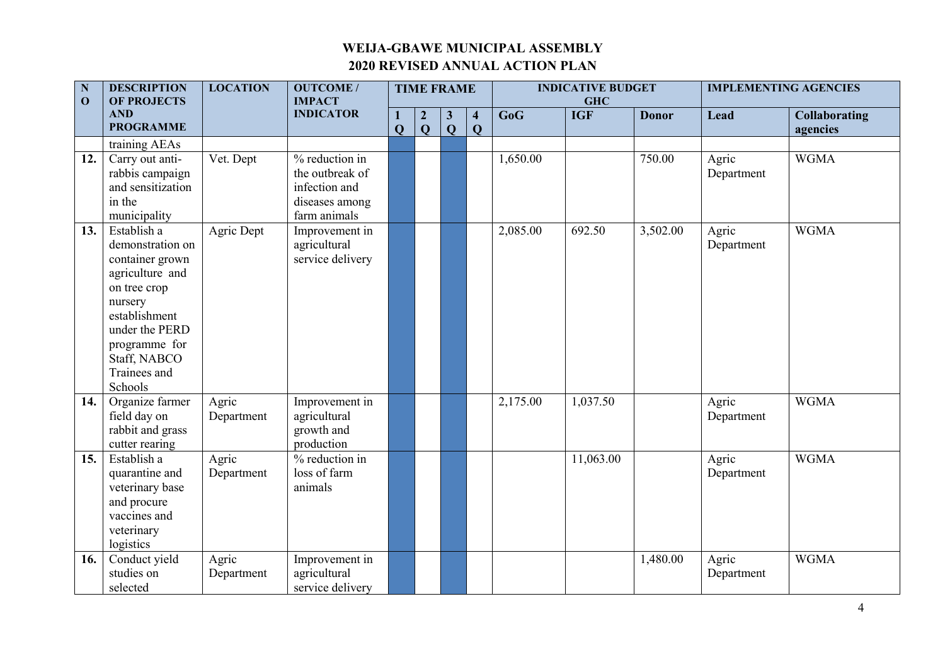| ${\bf N}$<br>$\mathbf{O}$ | <b>DESCRIPTION</b><br><b>OF PROJECTS</b> | <b>LOCATION</b> | <b>OUTCOME/</b><br><b>IMPACT</b> |                   |                                  | <b>TIME FRAME</b>            |                                         |          | <b>INDICATIVE BUDGET</b><br><b>GHC</b> |              |            | <b>IMPLEMENTING AGENCIES</b>     |
|---------------------------|------------------------------------------|-----------------|----------------------------------|-------------------|----------------------------------|------------------------------|-----------------------------------------|----------|----------------------------------------|--------------|------------|----------------------------------|
|                           | <b>AND</b><br><b>PROGRAMME</b>           |                 | <b>INDICATOR</b>                 | 1<br>$\mathbf{Q}$ | $\boldsymbol{2}$<br>$\mathbf{Q}$ | $\mathbf{3}$<br>$\mathbf{Q}$ | $\overline{\mathbf{4}}$<br>$\mathbf{Q}$ | GoG      | <b>IGF</b>                             | <b>Donor</b> | Lead       | <b>Collaborating</b><br>agencies |
|                           | training AEAs                            |                 |                                  |                   |                                  |                              |                                         |          |                                        |              |            |                                  |
| 12.                       | Carry out anti-                          | Vet. Dept       | % reduction in                   |                   |                                  |                              |                                         | 1,650.00 |                                        | 750.00       | Agric      | <b>WGMA</b>                      |
|                           | rabbis campaign                          |                 | the outbreak of                  |                   |                                  |                              |                                         |          |                                        |              | Department |                                  |
|                           | and sensitization                        |                 | infection and                    |                   |                                  |                              |                                         |          |                                        |              |            |                                  |
|                           | in the                                   |                 | diseases among                   |                   |                                  |                              |                                         |          |                                        |              |            |                                  |
|                           | municipality                             |                 | farm animals                     |                   |                                  |                              |                                         |          |                                        |              |            |                                  |
| 13.                       | Establish a                              | Agric Dept      | Improvement in                   |                   |                                  |                              |                                         | 2,085.00 | 692.50                                 | 3,502.00     | Agric      | <b>WGMA</b>                      |
|                           | demonstration on                         |                 | agricultural                     |                   |                                  |                              |                                         |          |                                        |              | Department |                                  |
|                           | container grown                          |                 | service delivery                 |                   |                                  |                              |                                         |          |                                        |              |            |                                  |
|                           | agriculture and                          |                 |                                  |                   |                                  |                              |                                         |          |                                        |              |            |                                  |
|                           | on tree crop                             |                 |                                  |                   |                                  |                              |                                         |          |                                        |              |            |                                  |
|                           | nursery                                  |                 |                                  |                   |                                  |                              |                                         |          |                                        |              |            |                                  |
|                           | establishment                            |                 |                                  |                   |                                  |                              |                                         |          |                                        |              |            |                                  |
|                           | under the PERD                           |                 |                                  |                   |                                  |                              |                                         |          |                                        |              |            |                                  |
|                           | programme for                            |                 |                                  |                   |                                  |                              |                                         |          |                                        |              |            |                                  |
|                           | Staff, NABCO<br>Trainees and             |                 |                                  |                   |                                  |                              |                                         |          |                                        |              |            |                                  |
|                           | Schools                                  |                 |                                  |                   |                                  |                              |                                         |          |                                        |              |            |                                  |
| 14.                       | Organize farmer                          | Agric           | Improvement in                   |                   |                                  |                              |                                         | 2,175.00 | 1,037.50                               |              | Agric      | <b>WGMA</b>                      |
|                           | field day on                             | Department      | agricultural                     |                   |                                  |                              |                                         |          |                                        |              | Department |                                  |
|                           | rabbit and grass                         |                 | growth and                       |                   |                                  |                              |                                         |          |                                        |              |            |                                  |
|                           | cutter rearing                           |                 | production                       |                   |                                  |                              |                                         |          |                                        |              |            |                                  |
| 15.                       | Establish a                              | Agric           | $%$ reduction in                 |                   |                                  |                              |                                         |          | 11,063.00                              |              | Agric      | <b>WGMA</b>                      |
|                           | quarantine and                           | Department      | loss of farm                     |                   |                                  |                              |                                         |          |                                        |              | Department |                                  |
|                           | veterinary base                          |                 | animals                          |                   |                                  |                              |                                         |          |                                        |              |            |                                  |
|                           | and procure                              |                 |                                  |                   |                                  |                              |                                         |          |                                        |              |            |                                  |
|                           | vaccines and                             |                 |                                  |                   |                                  |                              |                                         |          |                                        |              |            |                                  |
|                           | veterinary                               |                 |                                  |                   |                                  |                              |                                         |          |                                        |              |            |                                  |
|                           | logistics                                |                 |                                  |                   |                                  |                              |                                         |          |                                        |              |            |                                  |
| 16.                       | Conduct yield                            | Agric           | Improvement in                   |                   |                                  |                              |                                         |          |                                        | 1,480.00     | Agric      | <b>WGMA</b>                      |
|                           | studies on                               | Department      | agricultural                     |                   |                                  |                              |                                         |          |                                        |              | Department |                                  |
|                           | selected                                 |                 | service delivery                 |                   |                                  |                              |                                         |          |                                        |              |            |                                  |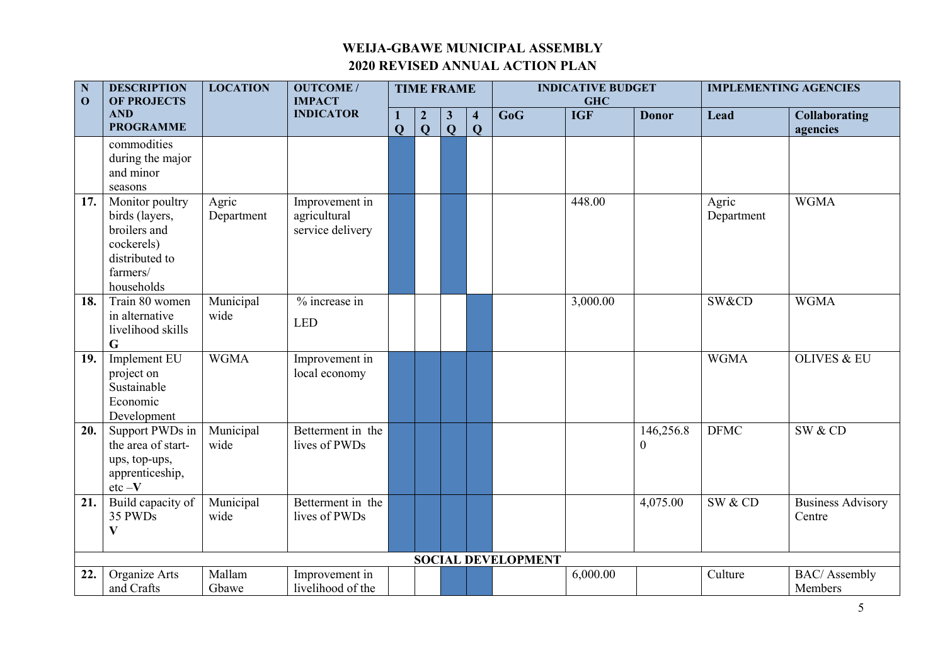| ${\bf N}$<br>$\mathbf{O}$ | <b>DESCRIPTION</b><br><b>OF PROJECTS</b>                                                                    | <b>LOCATION</b>     | <b>OUTCOME/</b><br><b>IMPACT</b>                   |              |                                             | <b>TIME FRAME</b>              |                                         |                           | <b>INDICATIVE BUDGET</b><br><b>GHC</b> |                               |                     | <b>IMPLEMENTING AGENCIES</b>       |
|---------------------------|-------------------------------------------------------------------------------------------------------------|---------------------|----------------------------------------------------|--------------|---------------------------------------------|--------------------------------|-----------------------------------------|---------------------------|----------------------------------------|-------------------------------|---------------------|------------------------------------|
|                           | <b>AND</b><br><b>PROGRAMME</b>                                                                              |                     | <b>INDICATOR</b>                                   | $\mathbf{Q}$ | $\boldsymbol{2}$<br>$\overline{\mathbf{Q}}$ | $\mathbf{3}$<br>$\overline{Q}$ | $\overline{\mathbf{4}}$<br>$\mathbf{Q}$ | GoG                       | <b>IGF</b>                             | <b>Donor</b>                  | Lead                | <b>Collaborating</b><br>agencies   |
|                           | commodities<br>during the major<br>and minor<br>seasons                                                     |                     |                                                    |              |                                             |                                |                                         |                           |                                        |                               |                     |                                    |
| 17.                       | Monitor poultry<br>birds (layers,<br>broilers and<br>cockerels)<br>distributed to<br>farmers/<br>households | Agric<br>Department | Improvement in<br>agricultural<br>service delivery |              |                                             |                                |                                         |                           | 448.00                                 |                               | Agric<br>Department | <b>WGMA</b>                        |
| 18.                       | Train 80 women<br>in alternative<br>livelihood skills<br>G                                                  | Municipal<br>wide   | % increase in<br><b>LED</b>                        |              |                                             |                                |                                         |                           | 3,000.00                               |                               | SW&CD               | <b>WGMA</b>                        |
| 19.                       | Implement EU<br>project on<br>Sustainable<br>Economic<br>Development                                        | <b>WGMA</b>         | Improvement in<br>local economy                    |              |                                             |                                |                                         |                           |                                        |                               | <b>WGMA</b>         | <b>OLIVES &amp; EU</b>             |
| 20.                       | Support PWDs in<br>the area of start-<br>ups, top-ups,<br>apprenticeship,<br>$\rm etc$ $-{\bf V}$           | Municipal<br>wide   | Betterment in the<br>lives of PWDs                 |              |                                             |                                |                                         |                           |                                        | 146,256.8<br>$\boldsymbol{0}$ | <b>DFMC</b>         | SW & CD                            |
| 21.                       | Build capacity of<br>35 PWDs<br>$\mathbf{V}$                                                                | Municipal<br>wide   | Betterment in the<br>lives of PWDs                 |              |                                             |                                |                                         |                           |                                        | 4,075.00                      | SW & CD             | <b>Business Advisory</b><br>Centre |
|                           |                                                                                                             |                     |                                                    |              |                                             |                                |                                         | <b>SOCIAL DEVELOPMENT</b> |                                        |                               |                     |                                    |
| 22.                       | Organize Arts<br>and Crafts                                                                                 | Mallam<br>Gbawe     | Improvement in<br>livelihood of the                |              |                                             |                                |                                         |                           | 6,000.00                               |                               | Culture             | <b>BAC/</b> Assembly<br>Members    |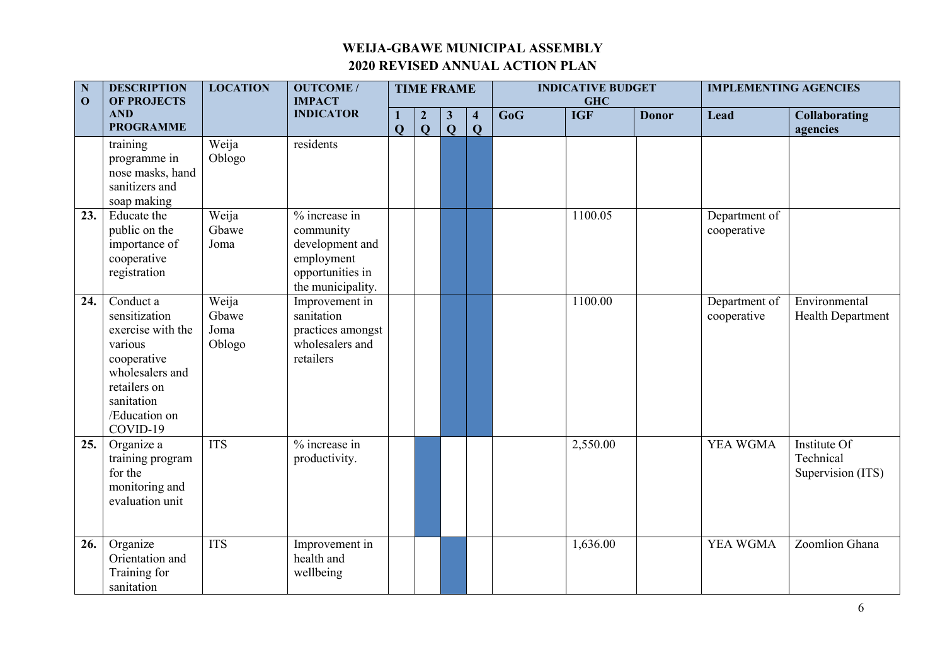| $\overline{\mathbf{N}}$<br>$\mathbf{O}$ | <b>DESCRIPTION</b><br><b>OF PROJECTS</b>                                                                                                                | <b>LOCATION</b>                  | <b>OUTCOME/</b><br><b>IMPACT</b>                                                                     |                     | <b>TIME FRAME</b>                  |                              |                                        |     | <b>INDICATIVE BUDGET</b><br><b>GHC</b> |              | <b>IMPLEMENTING AGENCIES</b> |                                                |
|-----------------------------------------|---------------------------------------------------------------------------------------------------------------------------------------------------------|----------------------------------|------------------------------------------------------------------------------------------------------|---------------------|------------------------------------|------------------------------|----------------------------------------|-----|----------------------------------------|--------------|------------------------------|------------------------------------------------|
|                                         | <b>AND</b><br><b>PROGRAMME</b>                                                                                                                          |                                  | <b>INDICATOR</b>                                                                                     | 1<br>$\overline{Q}$ | $\boldsymbol{2}$<br>$\overline{Q}$ | $\mathbf{3}$<br>$\mathbf{Q}$ | $\overline{\mathbf{4}}$<br>$\mathbf Q$ | GoG | <b>IGF</b>                             | <b>Donor</b> | Lead                         | <b>Collaborating</b><br>agencies               |
|                                         | training<br>programme in<br>nose masks, hand<br>sanitizers and<br>soap making                                                                           | Weija<br>Oblogo                  | residents                                                                                            |                     |                                    |                              |                                        |     |                                        |              |                              |                                                |
| 23.                                     | Educate the<br>public on the<br>importance of<br>cooperative<br>registration                                                                            | Weija<br>Gbawe<br>Joma           | % increase in<br>community<br>development and<br>employment<br>opportunities in<br>the municipality. |                     |                                    |                              |                                        |     | 1100.05                                |              | Department of<br>cooperative |                                                |
| 24.                                     | Conduct a<br>sensitization<br>exercise with the<br>various<br>cooperative<br>wholesalers and<br>retailers on<br>sanitation<br>/Education on<br>COVID-19 | Weija<br>Gbawe<br>Joma<br>Oblogo | Improvement in<br>sanitation<br>practices amongst<br>wholesalers and<br>retailers                    |                     |                                    |                              |                                        |     | 1100.00                                |              | Department of<br>cooperative | Environmental<br><b>Health Department</b>      |
| 25.                                     | Organize a<br>training program<br>for the<br>monitoring and<br>evaluation unit                                                                          | <b>ITS</b>                       | % increase in<br>productivity.                                                                       |                     |                                    |                              |                                        |     | 2,550.00                               |              | YEA WGMA                     | Institute Of<br>Technical<br>Supervision (ITS) |
| 26.                                     | Organize<br>Orientation and<br>Training for<br>sanitation                                                                                               | <b>ITS</b>                       | Improvement in<br>health and<br>wellbeing                                                            |                     |                                    |                              |                                        |     | 1,636.00                               |              | YEA WGMA                     | Zoomlion Ghana                                 |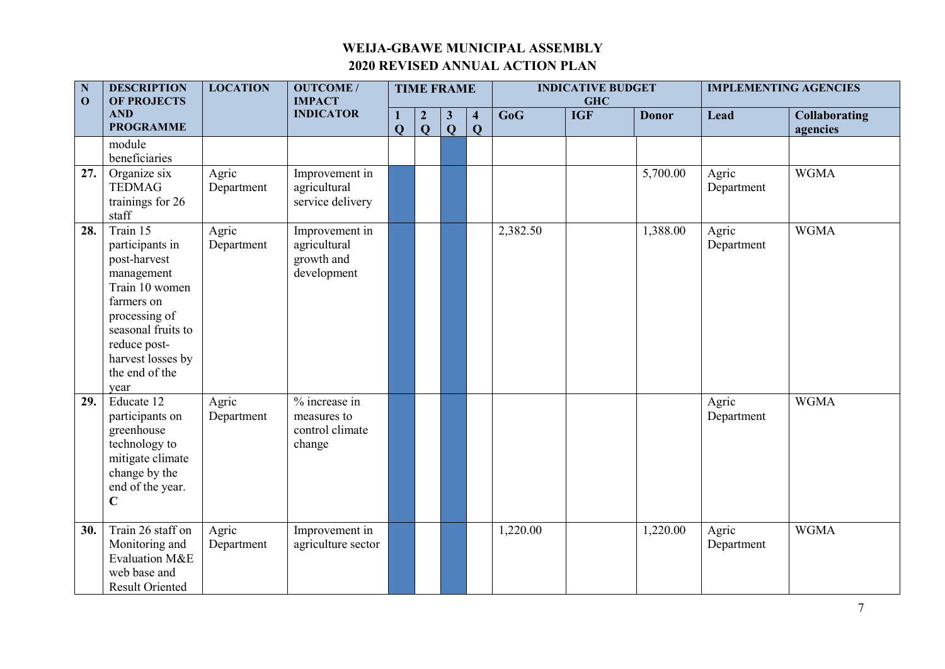| $\overline{\mathbf{N}}$<br>$\mathbf{0}$ | <b>DESCRIPTION</b><br><b>OF PROJECTS</b>                                                                                                                                                        | <b>LOCATION</b>     | <b>OUTCOME/</b><br><b>IMPACT</b>                            |                                         | <b>TIME FRAME</b>                |                              |                                         |          | <b>INDICATIVE BUDGET</b><br><b>GHC</b> |              |                     | <b>IMPLEMENTING AGENCIES</b>     |
|-----------------------------------------|-------------------------------------------------------------------------------------------------------------------------------------------------------------------------------------------------|---------------------|-------------------------------------------------------------|-----------------------------------------|----------------------------------|------------------------------|-----------------------------------------|----------|----------------------------------------|--------------|---------------------|----------------------------------|
|                                         | <b>AND</b><br><b>PROGRAMME</b>                                                                                                                                                                  |                     | <b>INDICATOR</b>                                            | $\mathbf{1}$<br>$\overline{\mathbf{Q}}$ | $\boldsymbol{2}$<br>$\mathbf{Q}$ | $\mathbf{3}$<br>$\mathbf{Q}$ | $\overline{\mathbf{4}}$<br>$\mathbf{Q}$ | GoG      | <b>IGF</b>                             | <b>Donor</b> | Lead                | <b>Collaborating</b><br>agencies |
|                                         | module<br>beneficiaries                                                                                                                                                                         |                     |                                                             |                                         |                                  |                              |                                         |          |                                        |              |                     |                                  |
| 27.                                     | Organize six<br><b>TEDMAG</b><br>trainings for 26<br>staff                                                                                                                                      | Agric<br>Department | Improvement in<br>agricultural<br>service delivery          |                                         |                                  |                              |                                         |          |                                        | 5,700.00     | Agric<br>Department | <b>WGMA</b>                      |
| 28.                                     | Train 15<br>participants in<br>post-harvest<br>management<br>Train 10 women<br>farmers on<br>processing of<br>seasonal fruits to<br>reduce post-<br>harvest losses by<br>the end of the<br>year | Agric<br>Department | Improvement in<br>agricultural<br>growth and<br>development |                                         |                                  |                              |                                         | 2,382.50 |                                        | 1,388.00     | Agric<br>Department | <b>WGMA</b>                      |
| 29.                                     | Educate 12<br>participants on<br>greenhouse<br>technology to<br>mitigate climate<br>change by the<br>end of the year.<br>$\mathbf C$                                                            | Agric<br>Department | % increase in<br>measures to<br>control climate<br>change   |                                         |                                  |                              |                                         |          |                                        |              | Agric<br>Department | <b>WGMA</b>                      |
| 30.                                     | Train 26 staff on<br>Monitoring and<br>Evaluation M&E<br>web base and<br><b>Result Oriented</b>                                                                                                 | Agric<br>Department | Improvement in<br>agriculture sector                        |                                         |                                  |                              |                                         | 1,220.00 |                                        | 1,220.00     | Agric<br>Department | <b>WGMA</b>                      |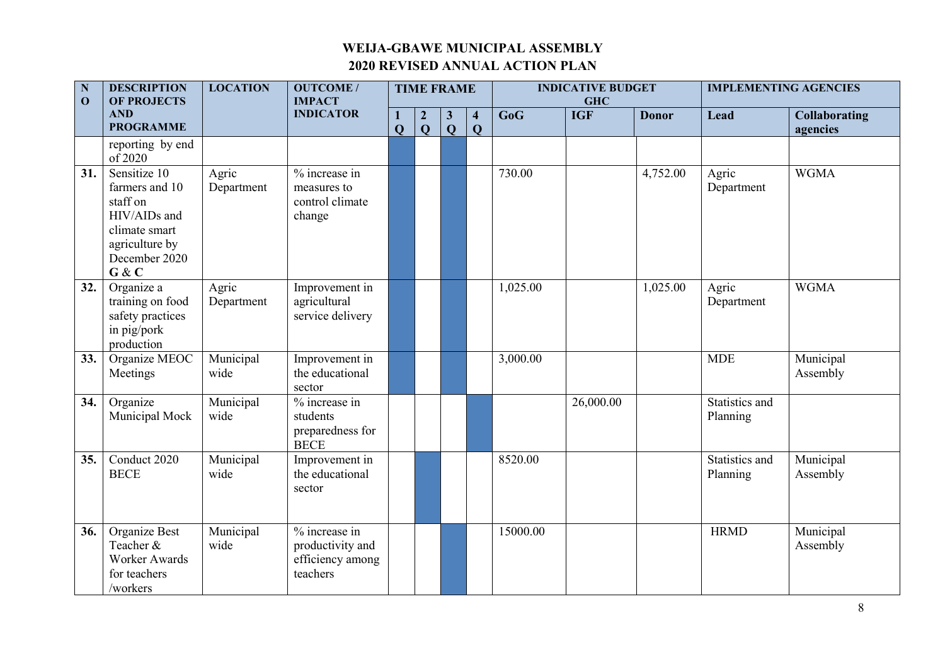| $\mathbf N$<br>$\mathbf{0}$ | <b>DESCRIPTION</b><br><b>OF PROJECTS</b>                                                                                | <b>LOCATION</b>     | <b>OUTCOME/</b><br><b>IMPACT</b>                                  |                         | <b>TIME FRAME</b>                |                              | <b>INDICATIVE BUDGET</b><br><b>GHC</b>  |          |            | <b>IMPLEMENTING AGENCIES</b> |                            |                                  |
|-----------------------------|-------------------------------------------------------------------------------------------------------------------------|---------------------|-------------------------------------------------------------------|-------------------------|----------------------------------|------------------------------|-----------------------------------------|----------|------------|------------------------------|----------------------------|----------------------------------|
|                             | <b>AND</b><br><b>PROGRAMME</b>                                                                                          |                     | <b>INDICATOR</b>                                                  | $\overline{\mathbf{Q}}$ | $\boldsymbol{2}$<br>$\mathbf{Q}$ | $\mathbf{3}$<br>$\mathbf{Q}$ | $\overline{\mathbf{4}}$<br>$\mathbf{Q}$ | GoG      | <b>IGF</b> | <b>Donor</b>                 | Lead                       | <b>Collaborating</b><br>agencies |
|                             | reporting by end<br>of 2020                                                                                             |                     |                                                                   |                         |                                  |                              |                                         |          |            |                              |                            |                                  |
| 31.                         | Sensitize 10<br>farmers and 10<br>staff on<br>HIV/AIDs and<br>climate smart<br>agriculture by<br>December 2020<br>G & C | Agric<br>Department | % increase in<br>measures to<br>control climate<br>change         |                         |                                  |                              |                                         | 730.00   |            | 4,752.00                     | Agric<br>Department        | <b>WGMA</b>                      |
| 32.                         | Organize a<br>training on food<br>safety practices<br>in pig/pork<br>production                                         | Agric<br>Department | Improvement in<br>agricultural<br>service delivery                |                         |                                  |                              |                                         | 1,025.00 |            | 1,025.00                     | Agric<br>Department        | <b>WGMA</b>                      |
| 33.                         | Organize MEOC<br>Meetings                                                                                               | Municipal<br>wide   | Improvement in<br>the educational<br>sector                       |                         |                                  |                              |                                         | 3,000.00 |            |                              | <b>MDE</b>                 | Municipal<br>Assembly            |
| 34.                         | Organize<br>Municipal Mock                                                                                              | Municipal<br>wide   | % increase in<br>students<br>preparedness for<br><b>BECE</b>      |                         |                                  |                              |                                         |          | 26,000.00  |                              | Statistics and<br>Planning |                                  |
| 35.                         | Conduct 2020<br><b>BECE</b>                                                                                             | Municipal<br>wide   | Improvement in<br>the educational<br>sector                       |                         |                                  |                              |                                         | 8520.00  |            |                              | Statistics and<br>Planning | Municipal<br>Assembly            |
| 36.                         | Organize Best<br>Teacher &<br>Worker Awards<br>for teachers<br>/workers                                                 | Municipal<br>wide   | % increase in<br>productivity and<br>efficiency among<br>teachers |                         |                                  |                              |                                         | 15000.00 |            |                              | <b>HRMD</b>                | Municipal<br>Assembly            |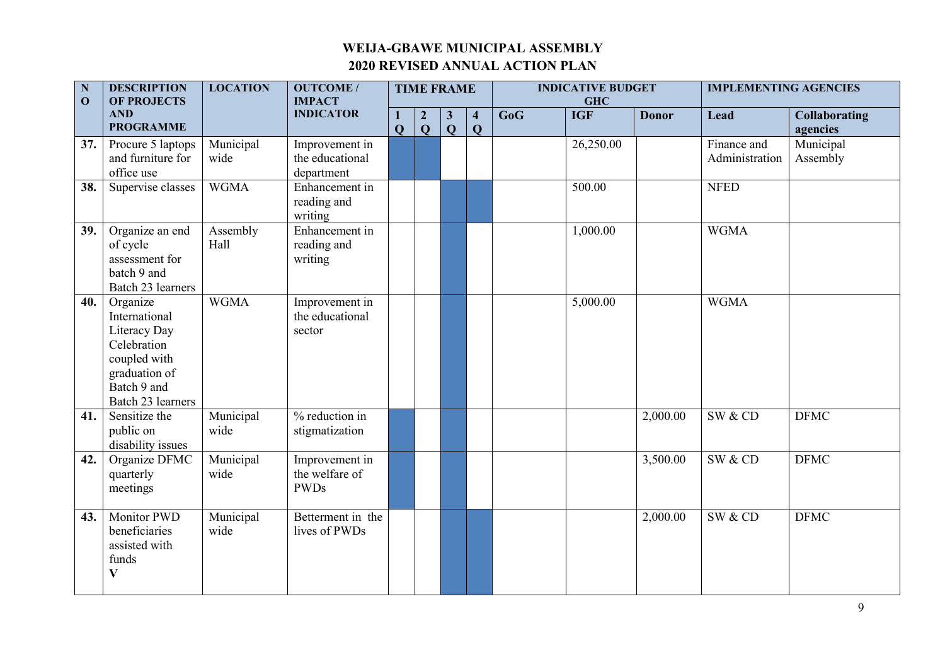| ${\bf N}$<br>$\mathbf{O}$ | <b>DESCRIPTION</b><br><b>OF PROJECTS</b>                                                                                      | <b>LOCATION</b>   | <b>OUTCOME/</b><br><b>IMPACT</b>                |                            | <b>TIME FRAME</b>                  |                              |                                        |     | <b>INDICATIVE BUDGET</b><br><b>GHC</b> |              | <b>IMPLEMENTING AGENCIES</b>  |                                  |
|---------------------------|-------------------------------------------------------------------------------------------------------------------------------|-------------------|-------------------------------------------------|----------------------------|------------------------------------|------------------------------|----------------------------------------|-----|----------------------------------------|--------------|-------------------------------|----------------------------------|
|                           | <b>AND</b><br><b>PROGRAMME</b>                                                                                                |                   | <b>INDICATOR</b>                                | $\bf{1}$<br>$\overline{Q}$ | $\boldsymbol{2}$<br>$\overline{Q}$ | $\mathbf{3}$<br>$\mathbf{Q}$ | $\overline{\mathbf{4}}$<br>$\mathbf Q$ | GoG | <b>IGF</b>                             | <b>Donor</b> | Lead                          | <b>Collaborating</b><br>agencies |
| 37.                       | Procure 5 laptops<br>and furniture for<br>office use                                                                          | Municipal<br>wide | Improvement in<br>the educational<br>department |                            |                                    |                              |                                        |     | 26,250.00                              |              | Finance and<br>Administration | Municipal<br>Assembly            |
| 38.                       | Supervise classes                                                                                                             | <b>WGMA</b>       | Enhancement in<br>reading and<br>writing        |                            |                                    |                              |                                        |     | 500.00                                 |              | <b>NFED</b>                   |                                  |
| 39.                       | Organize an end<br>of cycle<br>assessment for<br>batch 9 and<br>Batch 23 learners                                             | Assembly<br>Hall  | Enhancement in<br>reading and<br>writing        |                            |                                    |                              |                                        |     | 1,000.00                               |              | <b>WGMA</b>                   |                                  |
| 40.                       | Organize<br>International<br>Literacy Day<br>Celebration<br>coupled with<br>graduation of<br>Batch 9 and<br>Batch 23 learners | <b>WGMA</b>       | Improvement in<br>the educational<br>sector     |                            |                                    |                              |                                        |     | 5,000.00                               |              | <b>WGMA</b>                   |                                  |
| 41.                       | Sensitize the<br>public on<br>disability issues                                                                               | Municipal<br>wide | $%$ reduction in<br>stigmatization              |                            |                                    |                              |                                        |     |                                        | 2,000.00     | SW & CD                       | <b>DFMC</b>                      |
| 42.                       | Organize DFMC<br>quarterly<br>meetings                                                                                        | Municipal<br>wide | Improvement in<br>the welfare of<br><b>PWDs</b> |                            |                                    |                              |                                        |     |                                        | 3,500.00     | SW & CD                       | <b>DFMC</b>                      |
| 43.                       | <b>Monitor PWD</b><br>beneficiaries<br>assisted with<br>funds<br>$\bf V$                                                      | Municipal<br>wide | Betterment in the<br>lives of PWDs              |                            |                                    |                              |                                        |     |                                        | 2,000.00     | SW & CD                       | <b>DFMC</b>                      |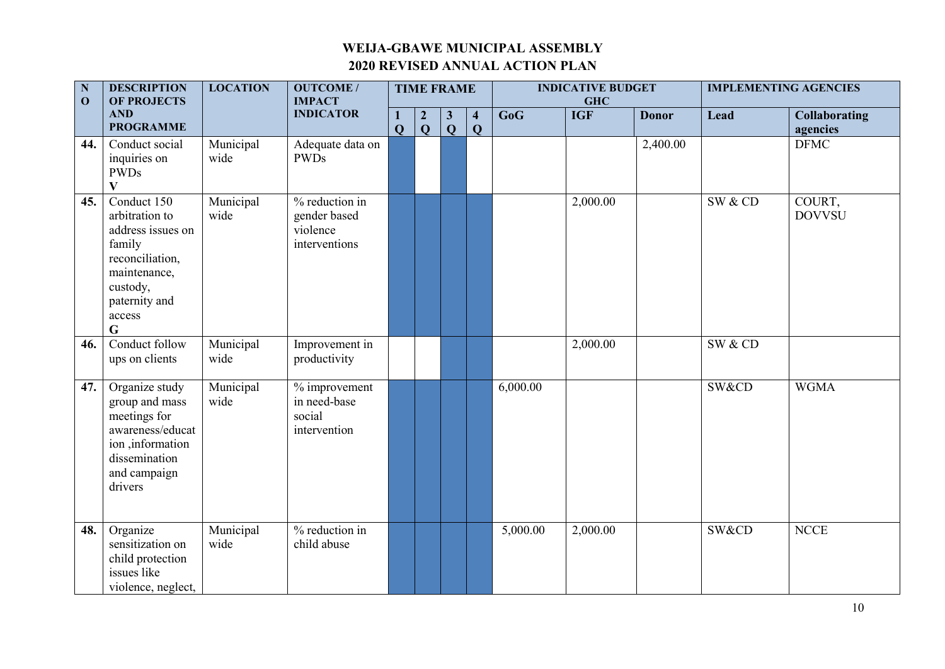| $\mathbf N$<br>$\mathbf{0}$ | <b>DESCRIPTION</b><br>OF PROJECTS                                                                                                                     | <b>LOCATION</b>   | <b>OUTCOME/</b><br><b>IMPACT</b>                            |                |                                  | <b>TIME FRAME</b>            |                                         |          | <b>INDICATIVE BUDGET</b><br><b>GHC</b> |              | <b>IMPLEMENTING AGENCIES</b> |                                  |
|-----------------------------|-------------------------------------------------------------------------------------------------------------------------------------------------------|-------------------|-------------------------------------------------------------|----------------|----------------------------------|------------------------------|-----------------------------------------|----------|----------------------------------------|--------------|------------------------------|----------------------------------|
|                             | <b>AND</b><br><b>PROGRAMME</b>                                                                                                                        |                   | <b>INDICATOR</b>                                            | $\overline{Q}$ | $\overline{2}$<br>$\overline{Q}$ | $\mathbf{3}$<br>$\mathbf{Q}$ | $\overline{\mathbf{4}}$<br>$\mathbf{Q}$ | GoG      | <b>IGF</b>                             | <b>Donor</b> | Lead                         | <b>Collaborating</b><br>agencies |
| 44.                         | Conduct social<br>inquiries on<br><b>PWDs</b><br>$\mathbf{V}$                                                                                         | Municipal<br>wide | Adequate data on<br><b>PWDs</b>                             |                |                                  |                              |                                         |          |                                        | 2,400.00     |                              | <b>DFMC</b>                      |
| 45.                         | Conduct 150<br>arbitration to<br>address issues on<br>family<br>reconciliation,<br>maintenance,<br>custody,<br>paternity and<br>access<br>$\mathbf G$ | Municipal<br>wide | % reduction in<br>gender based<br>violence<br>interventions |                |                                  |                              |                                         |          | 2,000.00                               |              | SW & CD                      | COURT,<br><b>DOVVSU</b>          |
| 46.                         | Conduct follow<br>ups on clients                                                                                                                      | Municipal<br>wide | Improvement in<br>productivity                              |                |                                  |                              |                                         |          | 2,000.00                               |              | SW & CD                      |                                  |
| 47.                         | Organize study<br>group and mass<br>meetings for<br>awareness/educat<br>ion, information<br>dissemination<br>and campaign<br>drivers                  | Municipal<br>wide | % improvement<br>in need-base<br>social<br>intervention     |                |                                  |                              |                                         | 6,000.00 |                                        |              | SW&CD                        | <b>WGMA</b>                      |
| 48.                         | Organize<br>sensitization on<br>child protection<br>issues like<br>violence, neglect,                                                                 | Municipal<br>wide | % reduction in<br>child abuse                               |                |                                  |                              |                                         | 5,000.00 | 2,000.00                               |              | SW&CD                        | NCE                              |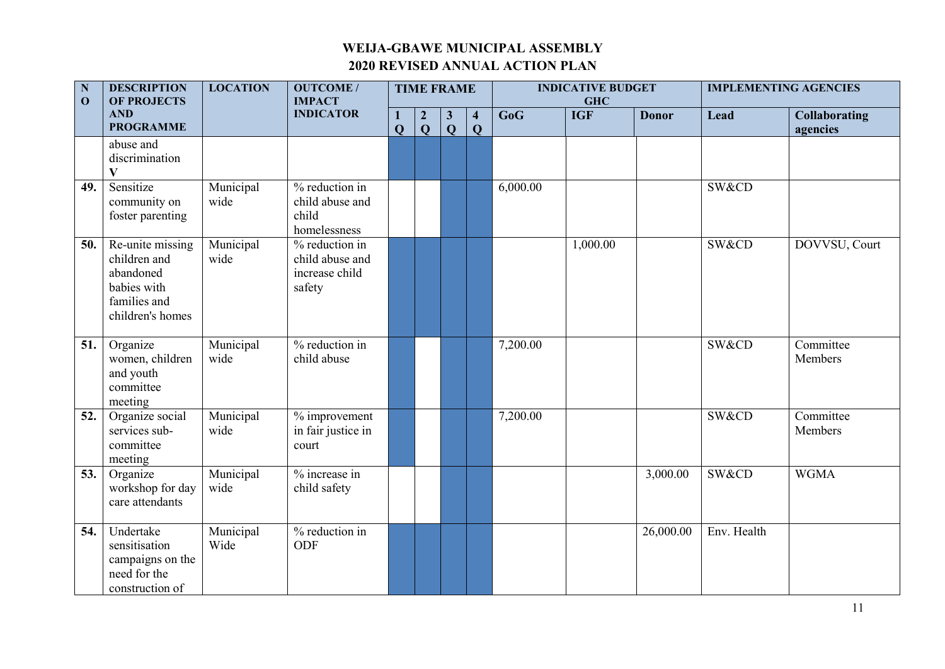| $\mathbf N$<br>$\mathbf{0}$ | <b>DESCRIPTION</b><br>OF PROJECTS                                                                | <b>LOCATION</b>   | <b>OUTCOME/</b><br><b>IMPACT</b>                                |                                | <b>TIME FRAME</b>              |                              |                                         |          | <b>INDICATIVE BUDGET</b><br><b>GHC</b> |              |             | <b>IMPLEMENTING AGENCIES</b>     |
|-----------------------------|--------------------------------------------------------------------------------------------------|-------------------|-----------------------------------------------------------------|--------------------------------|--------------------------------|------------------------------|-----------------------------------------|----------|----------------------------------------|--------------|-------------|----------------------------------|
|                             | <b>AND</b><br><b>PROGRAMME</b>                                                                   |                   | <b>INDICATOR</b>                                                | $\mathbf{1}$<br>$\overline{Q}$ | $\overline{2}$<br>$\mathbf{Q}$ | $\mathbf{3}$<br>$\mathbf{Q}$ | $\overline{\mathbf{4}}$<br>$\mathbf{Q}$ | GoG      | <b>IGF</b>                             | <b>Donor</b> | Lead        | <b>Collaborating</b><br>agencies |
|                             | abuse and<br>discrimination<br>V                                                                 |                   |                                                                 |                                |                                |                              |                                         |          |                                        |              |             |                                  |
| 49.                         | Sensitize<br>community on<br>foster parenting                                                    | Municipal<br>wide | % reduction in<br>child abuse and<br>child<br>homelessness      |                                |                                |                              |                                         | 6,000.00 |                                        |              | SW&CD       |                                  |
| 50.                         | Re-unite missing<br>children and<br>abandoned<br>babies with<br>families and<br>children's homes | Municipal<br>wide | $%$ reduction in<br>child abuse and<br>increase child<br>safety |                                |                                |                              |                                         |          | 1,000.00                               |              | SW&CD       | DOVVSU, Court                    |
| 51.                         | Organize<br>women, children<br>and youth<br>committee<br>meeting                                 | Municipal<br>wide | % reduction in<br>child abuse                                   |                                |                                |                              |                                         | 7,200.00 |                                        |              | SW&CD       | Committee<br>Members             |
| 52.                         | Organize social<br>services sub-<br>committee<br>meeting                                         | Municipal<br>wide | % improvement<br>in fair justice in<br>court                    |                                |                                |                              |                                         | 7,200.00 |                                        |              | SW&CD       | Committee<br>Members             |
| 53.                         | Organize<br>workshop for day<br>care attendants                                                  | Municipal<br>wide | % increase in<br>child safety                                   |                                |                                |                              |                                         |          |                                        | 3,000.00     | SW&CD       | <b>WGMA</b>                      |
| 54.                         | Undertake<br>sensitisation<br>campaigns on the<br>need for the<br>construction of                | Municipal<br>Wide | % reduction in<br>ODF                                           |                                |                                |                              |                                         |          |                                        | 26,000.00    | Env. Health |                                  |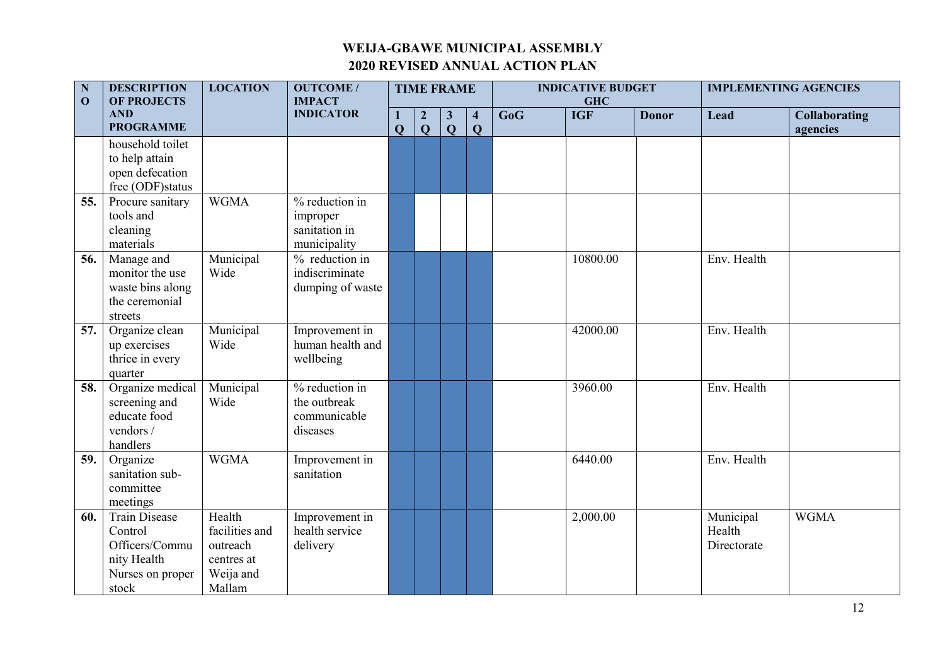| ${\bf N}$<br>$\mathbf{O}$ | <b>DESCRIPTION</b><br><b>OF PROJECTS</b> | <b>LOCATION</b>            | <b>OUTCOME/</b><br><b>IMPACT</b> |                     |                                | <b>TIME FRAME</b>            |                                         |     | <b>INDICATIVE BUDGET</b><br><b>GHC</b> |              | <b>IMPLEMENTING AGENCIES</b> |                                  |
|---------------------------|------------------------------------------|----------------------------|----------------------------------|---------------------|--------------------------------|------------------------------|-----------------------------------------|-----|----------------------------------------|--------------|------------------------------|----------------------------------|
|                           | <b>AND</b><br><b>PROGRAMME</b>           |                            | <b>INDICATOR</b>                 | 1<br>$\overline{Q}$ | $\overline{2}$<br>$\mathbf{Q}$ | $\mathbf{3}$<br>$\mathbf{Q}$ | $\overline{\mathbf{4}}$<br>$\mathbf{Q}$ | GoG | <b>IGF</b>                             | <b>Donor</b> | Lead                         | <b>Collaborating</b><br>agencies |
|                           | household toilet                         |                            |                                  |                     |                                |                              |                                         |     |                                        |              |                              |                                  |
|                           | to help attain                           |                            |                                  |                     |                                |                              |                                         |     |                                        |              |                              |                                  |
|                           | open defecation                          |                            |                                  |                     |                                |                              |                                         |     |                                        |              |                              |                                  |
|                           | free (ODF) status                        |                            |                                  |                     |                                |                              |                                         |     |                                        |              |                              |                                  |
| 55.                       | Procure sanitary                         | <b>WGMA</b>                | % reduction in                   |                     |                                |                              |                                         |     |                                        |              |                              |                                  |
|                           | tools and                                |                            | improper                         |                     |                                |                              |                                         |     |                                        |              |                              |                                  |
|                           | cleaning                                 |                            | sanitation in                    |                     |                                |                              |                                         |     |                                        |              |                              |                                  |
|                           | materials                                |                            | municipality                     |                     |                                |                              |                                         |     |                                        |              |                              |                                  |
| 56.                       | Manage and                               | Municipal                  | % reduction in                   |                     |                                |                              |                                         |     | 10800.00                               |              | Env. Health                  |                                  |
|                           | monitor the use                          | Wide                       | indiscriminate                   |                     |                                |                              |                                         |     |                                        |              |                              |                                  |
|                           | waste bins along                         |                            | dumping of waste                 |                     |                                |                              |                                         |     |                                        |              |                              |                                  |
|                           | the ceremonial                           |                            |                                  |                     |                                |                              |                                         |     |                                        |              |                              |                                  |
|                           | streets                                  |                            |                                  |                     |                                |                              |                                         |     |                                        |              |                              |                                  |
| 57.                       | Organize clean                           | Municipal                  | Improvement in                   |                     |                                |                              |                                         |     | 42000.00                               |              | Env. Health                  |                                  |
|                           | up exercises                             | Wide                       | human health and                 |                     |                                |                              |                                         |     |                                        |              |                              |                                  |
|                           | thrice in every                          |                            | wellbeing                        |                     |                                |                              |                                         |     |                                        |              |                              |                                  |
|                           | quarter                                  |                            |                                  |                     |                                |                              |                                         |     |                                        |              |                              |                                  |
| 58.                       | Organize medical                         | Municipal                  | % reduction in                   |                     |                                |                              |                                         |     | 3960.00                                |              | Env. Health                  |                                  |
|                           | screening and                            | Wide                       | the outbreak                     |                     |                                |                              |                                         |     |                                        |              |                              |                                  |
|                           | educate food                             |                            | communicable                     |                     |                                |                              |                                         |     |                                        |              |                              |                                  |
|                           | vendors /                                |                            | diseases                         |                     |                                |                              |                                         |     |                                        |              |                              |                                  |
|                           | handlers                                 |                            |                                  |                     |                                |                              |                                         |     |                                        |              |                              |                                  |
| 59.                       | Organize                                 | <b>WGMA</b>                | Improvement in                   |                     |                                |                              |                                         |     | 6440.00                                |              | Env. Health                  |                                  |
|                           | sanitation sub-<br>committee             |                            | sanitation                       |                     |                                |                              |                                         |     |                                        |              |                              |                                  |
|                           |                                          |                            |                                  |                     |                                |                              |                                         |     |                                        |              |                              |                                  |
|                           | meetings<br><b>Train Disease</b>         | Health                     |                                  |                     |                                |                              |                                         |     |                                        |              |                              | <b>WGMA</b>                      |
| 60.                       |                                          |                            | Improvement in                   |                     |                                |                              |                                         |     | 2,000.00                               |              | Municipal                    |                                  |
|                           | Control<br>Officers/Commu                | facilities and<br>outreach | health service                   |                     |                                |                              |                                         |     |                                        |              | Health                       |                                  |
|                           |                                          |                            | delivery                         |                     |                                |                              |                                         |     |                                        |              | Directorate                  |                                  |
|                           | nity Health                              | centres at<br>Weija and    |                                  |                     |                                |                              |                                         |     |                                        |              |                              |                                  |
|                           | Nurses on proper<br>stock                | Mallam                     |                                  |                     |                                |                              |                                         |     |                                        |              |                              |                                  |
|                           |                                          |                            |                                  |                     |                                |                              |                                         |     |                                        |              |                              |                                  |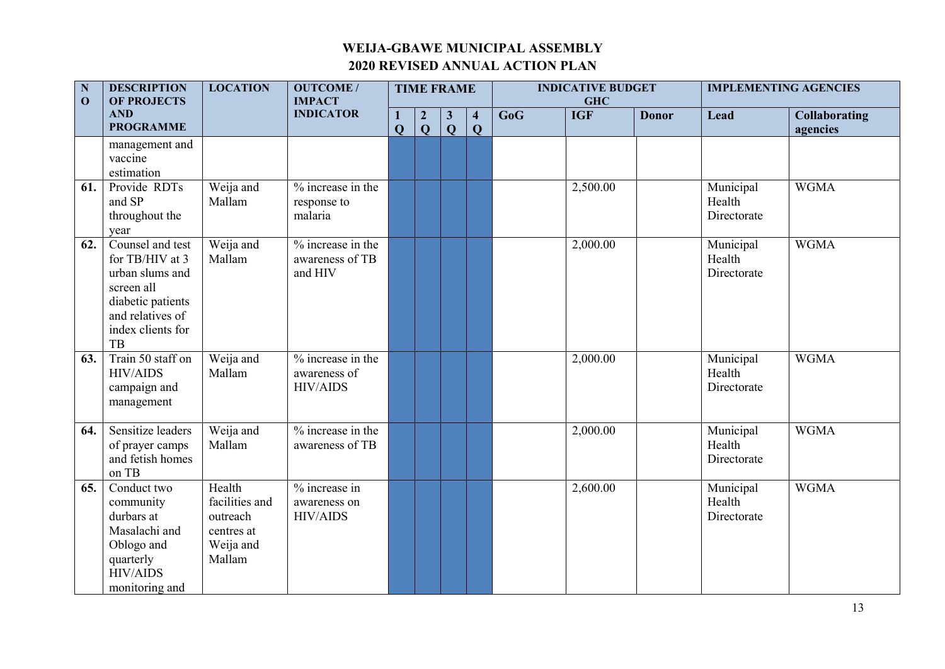| ${\bf N}$<br>$\mathbf{O}$ | <b>DESCRIPTION</b><br><b>OF PROJECTS</b>                                                                                                 | <b>LOCATION</b>                                                           | <b>OUTCOME/</b><br><b>IMPACT</b>                       |                   |                                  | <b>TIME FRAME</b>            |                                         |     | <b>INDICATIVE BUDGET</b><br><b>GHC</b> |              |                                    | <b>IMPLEMENTING AGENCIES</b>     |
|---------------------------|------------------------------------------------------------------------------------------------------------------------------------------|---------------------------------------------------------------------------|--------------------------------------------------------|-------------------|----------------------------------|------------------------------|-----------------------------------------|-----|----------------------------------------|--------------|------------------------------------|----------------------------------|
|                           | <b>AND</b><br><b>PROGRAMME</b>                                                                                                           |                                                                           | <b>INDICATOR</b>                                       | 1<br>$\mathbf{Q}$ | $\boldsymbol{2}$<br>$\mathbf{Q}$ | $\mathbf{3}$<br>$\mathbf{Q}$ | $\overline{\mathbf{4}}$<br>$\mathbf{Q}$ | GoG | <b>IGF</b>                             | <b>Donor</b> | Lead                               | <b>Collaborating</b><br>agencies |
|                           | management and<br>vaccine<br>estimation                                                                                                  |                                                                           |                                                        |                   |                                  |                              |                                         |     |                                        |              |                                    |                                  |
| 61.                       | Provide RDTs<br>and SP<br>throughout the<br>year                                                                                         | Weija and<br>Mallam                                                       | % increase in the<br>response to<br>malaria            |                   |                                  |                              |                                         |     | 2,500.00                               |              | Municipal<br>Health<br>Directorate | <b>WGMA</b>                      |
| 62.                       | Counsel and test<br>for TB/HIV at 3<br>urban slums and<br>screen all<br>diabetic patients<br>and relatives of<br>index clients for<br>TB | Weija and<br>Mallam                                                       | $%$ increase in the<br>awareness of TB<br>and HIV      |                   |                                  |                              |                                         |     | 2,000.00                               |              | Municipal<br>Health<br>Directorate | <b>WGMA</b>                      |
| 63.                       | Train 50 staff on<br><b>HIV/AIDS</b><br>campaign and<br>management                                                                       | Weija and<br>Mallam                                                       | $%$ increase in the<br>awareness of<br><b>HIV/AIDS</b> |                   |                                  |                              |                                         |     | 2,000.00                               |              | Municipal<br>Health<br>Directorate | <b>WGMA</b>                      |
| 64.                       | Sensitize leaders<br>of prayer camps<br>and fetish homes<br>on TB                                                                        | Weija and<br>Mallam                                                       | % increase in the<br>awareness of TB                   |                   |                                  |                              |                                         |     | 2,000.00                               |              | Municipal<br>Health<br>Directorate | <b>WGMA</b>                      |
| 65.                       | Conduct two<br>community<br>durbars at<br>Masalachi and<br>Oblogo and<br>quarterly<br><b>HIV/AIDS</b><br>monitoring and                  | Health<br>facilities and<br>outreach<br>centres at<br>Weija and<br>Mallam | % increase in<br>awareness on<br><b>HIV/AIDS</b>       |                   |                                  |                              |                                         |     | 2,600.00                               |              | Municipal<br>Health<br>Directorate | <b>WGMA</b>                      |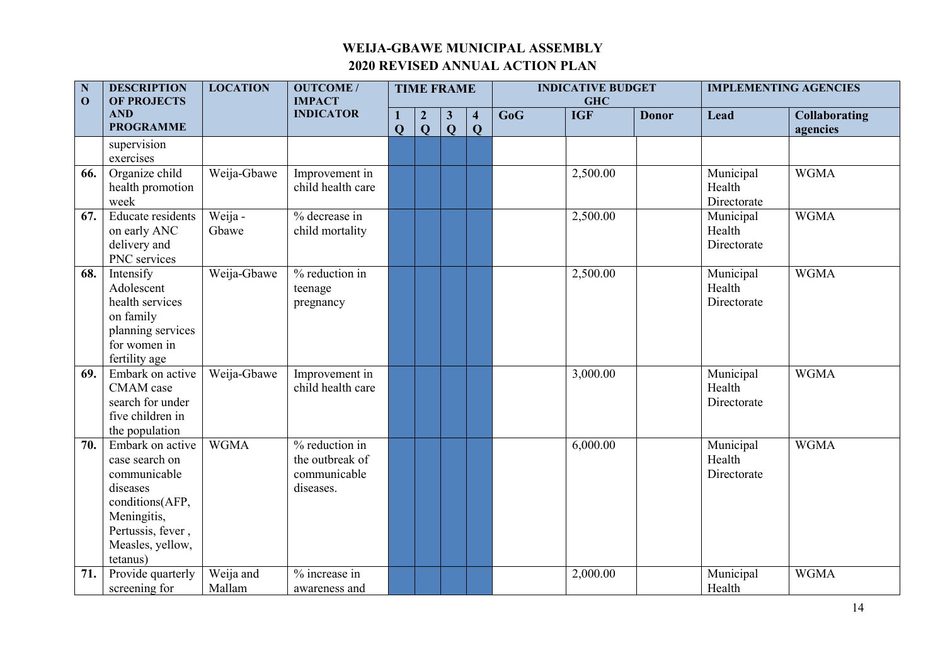| $\overline{\mathbf{N}}$<br>$\mathbf{0}$ | <b>DESCRIPTION</b><br><b>OF PROJECTS</b>                                                                                                              | <b>LOCATION</b>     | <b>OUTCOME/</b><br><b>IMPACT</b>                               |                          | <b>TIME FRAME</b>                |                                |                                         |     | <b>INDICATIVE BUDGET</b><br><b>GHC</b> |              |                                    | <b>IMPLEMENTING AGENCIES</b>     |
|-----------------------------------------|-------------------------------------------------------------------------------------------------------------------------------------------------------|---------------------|----------------------------------------------------------------|--------------------------|----------------------------------|--------------------------------|-----------------------------------------|-----|----------------------------------------|--------------|------------------------------------|----------------------------------|
|                                         | <b>AND</b><br><b>PROGRAMME</b>                                                                                                                        |                     | <b>INDICATOR</b>                                               | $\bf{l}$<br>$\mathbf{Q}$ | $\boldsymbol{2}$<br>$\mathbf{Q}$ | $\mathbf{3}$<br>$\overline{Q}$ | $\overline{\mathbf{4}}$<br>$\mathbf{Q}$ | GoG | <b>IGF</b>                             | <b>Donor</b> | Lead                               | <b>Collaborating</b><br>agencies |
|                                         | supervision<br>exercises                                                                                                                              |                     |                                                                |                          |                                  |                                |                                         |     |                                        |              |                                    |                                  |
| 66.                                     | Organize child<br>health promotion<br>week                                                                                                            | Weija-Gbawe         | Improvement in<br>child health care                            |                          |                                  |                                |                                         |     | 2,500.00                               |              | Municipal<br>Health<br>Directorate | <b>WGMA</b>                      |
| 67.                                     | Educate residents<br>on early ANC<br>delivery and<br>PNC services                                                                                     | Weija -<br>Gbawe    | % decrease in<br>child mortality                               |                          |                                  |                                |                                         |     | 2,500.00                               |              | Municipal<br>Health<br>Directorate | <b>WGMA</b>                      |
| 68.                                     | Intensify<br>Adolescent<br>health services<br>on family<br>planning services<br>for women in<br>fertility age                                         | Weija-Gbawe         | % reduction in<br>teenage<br>pregnancy                         |                          |                                  |                                |                                         |     | 2,500.00                               |              | Municipal<br>Health<br>Directorate | <b>WGMA</b>                      |
| 69.                                     | Embark on active<br>CMAM case<br>search for under<br>five children in<br>the population                                                               | Weija-Gbawe         | Improvement in<br>child health care                            |                          |                                  |                                |                                         |     | 3,000.00                               |              | Municipal<br>Health<br>Directorate | <b>WGMA</b>                      |
| 70.                                     | Embark on active<br>case search on<br>communicable<br>diseases<br>conditions(AFP,<br>Meningitis,<br>Pertussis, fever,<br>Measles, yellow,<br>tetanus) | <b>WGMA</b>         | % reduction in<br>the outbreak of<br>communicable<br>diseases. |                          |                                  |                                |                                         |     | 6,000.00                               |              | Municipal<br>Health<br>Directorate | <b>WGMA</b>                      |
| 71.                                     | Provide quarterly<br>screening for                                                                                                                    | Weija and<br>Mallam | % increase in<br>awareness and                                 |                          |                                  |                                |                                         |     | 2,000.00                               |              | Municipal<br>Health                | <b>WGMA</b>                      |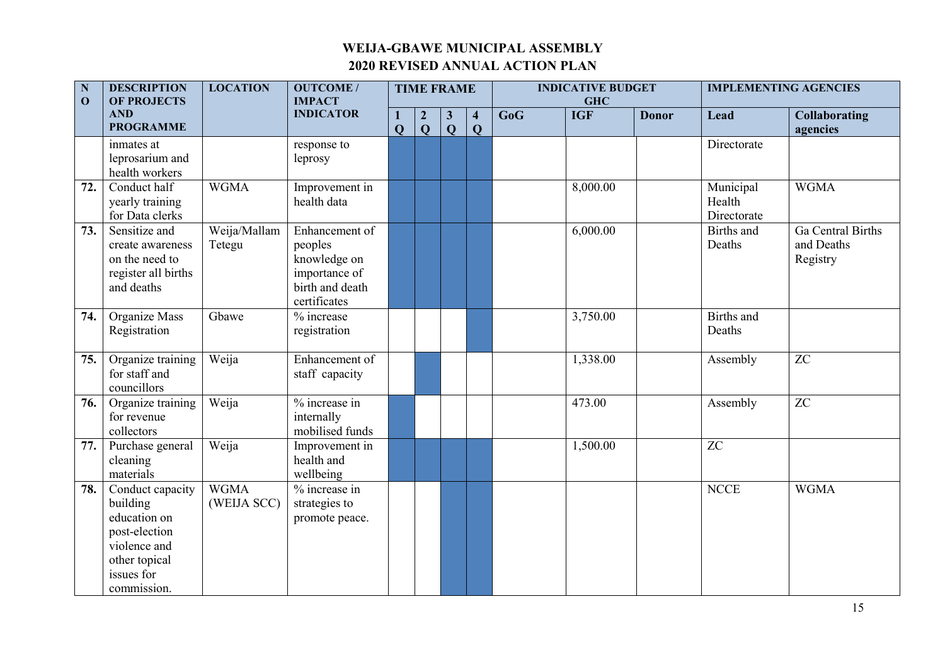| $\mathbf N$<br>$\mathbf{O}$ | <b>DESCRIPTION</b><br><b>OF PROJECTS</b>                                                                                           | <b>LOCATION</b>            | <b>OUTCOME/</b><br><b>IMPACT</b>                                                              |                                | <b>TIME FRAME</b>                |                              |                                         |     | <b>INDICATIVE BUDGET</b><br><b>GHC</b> |              |                                    | <b>IMPLEMENTING AGENCIES</b>                       |
|-----------------------------|------------------------------------------------------------------------------------------------------------------------------------|----------------------------|-----------------------------------------------------------------------------------------------|--------------------------------|----------------------------------|------------------------------|-----------------------------------------|-----|----------------------------------------|--------------|------------------------------------|----------------------------------------------------|
|                             | <b>AND</b><br><b>PROGRAMME</b>                                                                                                     |                            | <b>INDICATOR</b>                                                                              | $\mathbf{1}$<br>$\overline{Q}$ | $\boldsymbol{2}$<br>$\mathbf{Q}$ | $\mathbf{3}$<br>$\mathbf{Q}$ | $\overline{\mathbf{4}}$<br>$\mathbf{Q}$ | GoG | <b>IGF</b>                             | <b>Donor</b> | Lead                               | <b>Collaborating</b><br>agencies                   |
|                             | inmates at<br>leprosarium and<br>health workers                                                                                    |                            | response to<br>leprosy                                                                        |                                |                                  |                              |                                         |     |                                        |              | Directorate                        |                                                    |
|                             | 72.<br>Conduct half<br>yearly training<br>for Data clerks                                                                          | <b>WGMA</b>                | Improvement in<br>health data                                                                 |                                |                                  |                              |                                         |     | 8,000.00                               |              | Municipal<br>Health<br>Directorate | <b>WGMA</b>                                        |
|                             | Sensitize and<br>73.<br>create awareness<br>on the need to<br>register all births<br>and deaths                                    | Weija/Mallam<br>Tetegu     | Enhancement of<br>peoples<br>knowledge on<br>importance of<br>birth and death<br>certificates |                                |                                  |                              |                                         |     | 6,000.00                               |              | Births and<br>Deaths               | <b>Ga</b> Central Births<br>and Deaths<br>Registry |
|                             | Organize Mass<br>74.<br>Registration                                                                                               | Gbawe                      | % increase<br>registration                                                                    |                                |                                  |                              |                                         |     | 3,750.00                               |              | <b>Births</b> and<br>Deaths        |                                                    |
|                             | Organize training<br>75.<br>for staff and<br>councillors                                                                           | Weija                      | Enhancement of<br>staff capacity                                                              |                                |                                  |                              |                                         |     | 1,338.00                               |              | Assembly                           | ZC                                                 |
|                             | Organize training<br>76.<br>for revenue<br>collectors                                                                              | Weija                      | % increase in<br>internally<br>mobilised funds                                                |                                |                                  |                              |                                         |     | 473.00                                 |              | Assembly                           | $\overline{z}$                                     |
|                             | 77.<br>Purchase general<br>cleaning<br>materials                                                                                   | Weija                      | Improvement in<br>health and<br>wellbeing                                                     |                                |                                  |                              |                                         |     | 1,500.00                               |              | <b>ZC</b>                          |                                                    |
|                             | Conduct capacity<br>78.<br>building<br>education on<br>post-election<br>violence and<br>other topical<br>issues for<br>commission. | <b>WGMA</b><br>(WEIJA SCC) | % increase in<br>strategies to<br>promote peace.                                              |                                |                                  |                              |                                         |     |                                        |              | <b>NCCE</b>                        | <b>WGMA</b>                                        |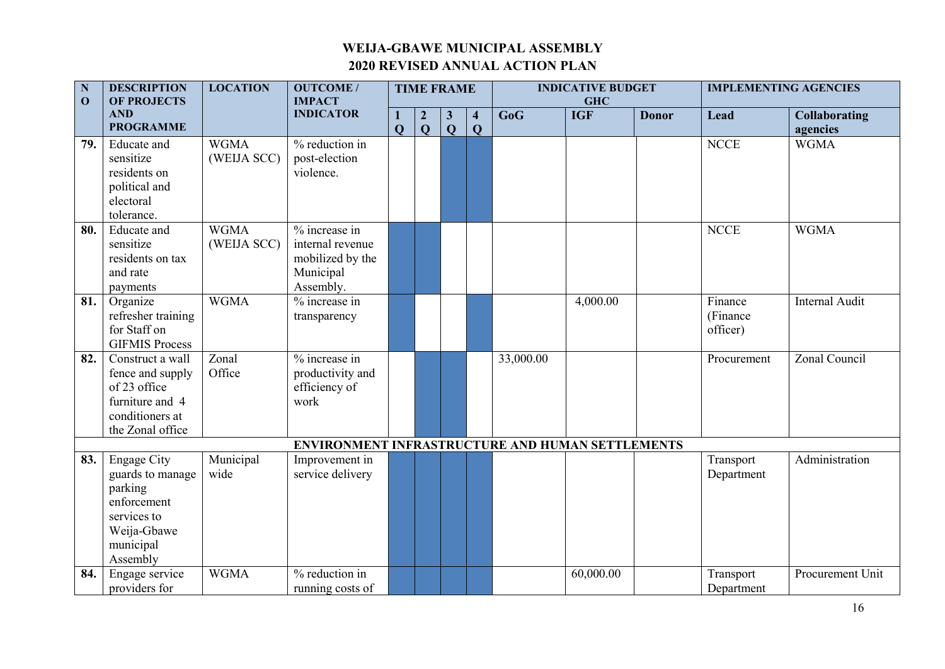| $\overline{\mathbf{N}}$<br>$\mathbf{0}$ | <b>DESCRIPTION</b><br><b>OF PROJECTS</b>                                                                                | <b>LOCATION</b>            | <b>OUTCOME/</b><br><b>IMPACT</b>                                                |                                     | <b>TIME FRAME</b>                |                             |                                         |           | <b>INDICATIVE BUDGET</b><br><b>GHC</b> |              |                                 | <b>IMPLEMENTING AGENCIES</b>     |
|-----------------------------------------|-------------------------------------------------------------------------------------------------------------------------|----------------------------|---------------------------------------------------------------------------------|-------------------------------------|----------------------------------|-----------------------------|-----------------------------------------|-----------|----------------------------------------|--------------|---------------------------------|----------------------------------|
|                                         | <b>AND</b><br><b>PROGRAMME</b>                                                                                          |                            | <b>INDICATOR</b>                                                                | $\bf{l}$<br>$\overline{\mathbf{Q}}$ | $\boldsymbol{2}$<br>$\mathbf{Q}$ | $\mathbf{3}$<br>$\mathbf Q$ | $\overline{\mathbf{4}}$<br>$\mathbf{Q}$ | GoG       | <b>IGF</b>                             | <b>Donor</b> | Lead                            | <b>Collaborating</b><br>agencies |
| 79.                                     | Educate and<br>sensitize<br>residents on<br>political and<br>electoral                                                  | <b>WGMA</b><br>(WEIJA SCC) | % reduction in<br>post-election<br>violence.                                    |                                     |                                  |                             |                                         |           |                                        |              | <b>NCCE</b>                     | <b>WGMA</b>                      |
|                                         | tolerance.                                                                                                              |                            |                                                                                 |                                     |                                  |                             |                                         |           |                                        |              |                                 |                                  |
| 80.                                     | Educate and<br>sensitize<br>residents on tax<br>and rate<br>payments                                                    | <b>WGMA</b><br>(WEIJA SCC) | % increase in<br>internal revenue<br>mobilized by the<br>Municipal<br>Assembly. |                                     |                                  |                             |                                         |           |                                        |              | <b>NCCE</b>                     | <b>WGMA</b>                      |
| 81.                                     | Organize<br>refresher training<br>for Staff on<br><b>GIFMIS Process</b>                                                 | <b>WGMA</b>                | % increase in<br>transparency                                                   |                                     |                                  |                             |                                         |           | 4,000.00                               |              | Finance<br>(Finance<br>officer) | <b>Internal Audit</b>            |
| 82.                                     | Construct a wall<br>fence and supply<br>of 23 office<br>furniture and 4<br>conditioners at<br>the Zonal office          | Zonal<br>Office            | % increase in<br>productivity and<br>efficiency of<br>work                      |                                     |                                  |                             |                                         | 33,000.00 |                                        |              | Procurement                     | Zonal Council                    |
|                                         |                                                                                                                         |                            | ENVIRONMENT INFRASTRUCTURE AND HUMAN SETTLEMENTS                                |                                     |                                  |                             |                                         |           |                                        |              |                                 |                                  |
| 83.                                     | <b>Engage City</b><br>guards to manage<br>parking<br>enforcement<br>services to<br>Weija-Gbawe<br>municipal<br>Assembly | Municipal<br>wide          | Improvement in<br>service delivery                                              |                                     |                                  |                             |                                         |           |                                        |              | Transport<br>Department         | Administration                   |
| 84.                                     | Engage service<br>providers for                                                                                         | <b>WGMA</b>                | % reduction in<br>running costs of                                              |                                     |                                  |                             |                                         |           | 60,000.00                              |              | Transport<br>Department         | Procurement Unit                 |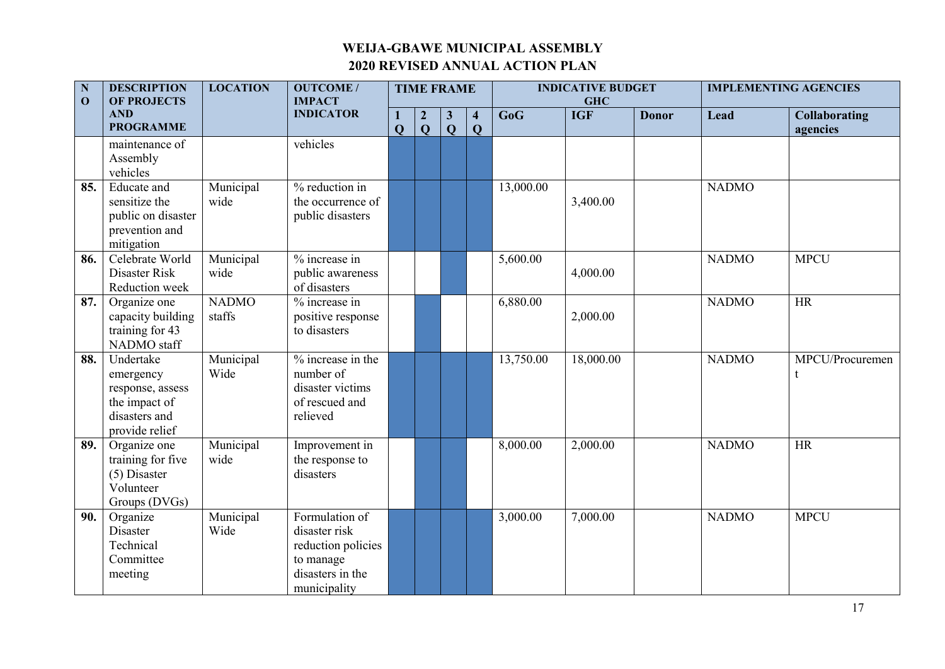| $\overline{\mathbf{N}}$<br>$\mathbf{0}$ | <b>DESCRIPTION</b><br><b>OF PROJECTS</b>                                                       | <b>LOCATION</b>        | <b>OUTCOME/</b><br><b>IMPACT</b>                                                                       |   | <b>TIME FRAME</b>              |                              |                                         |           | <b>INDICATIVE BUDGET</b><br><b>GHC</b> |              |              | <b>IMPLEMENTING AGENCIES</b>     |
|-----------------------------------------|------------------------------------------------------------------------------------------------|------------------------|--------------------------------------------------------------------------------------------------------|---|--------------------------------|------------------------------|-----------------------------------------|-----------|----------------------------------------|--------------|--------------|----------------------------------|
|                                         | <b>AND</b><br><b>PROGRAMME</b>                                                                 |                        | <b>INDICATOR</b>                                                                                       | Q | $\overline{2}$<br>$\mathbf{Q}$ | $\mathbf{3}$<br>$\mathbf{Q}$ | $\overline{\mathbf{4}}$<br>$\mathbf{Q}$ | GoG       | <b>IGF</b>                             | <b>Donor</b> | Lead         | <b>Collaborating</b><br>agencies |
|                                         | maintenance of<br>Assembly<br>vehicles                                                         |                        | vehicles                                                                                               |   |                                |                              |                                         |           |                                        |              |              |                                  |
| 85.                                     | Educate and<br>sensitize the<br>public on disaster<br>prevention and<br>mitigation             | Municipal<br>wide      | % reduction in<br>the occurrence of<br>public disasters                                                |   |                                |                              |                                         | 13,000.00 | 3,400.00                               |              | <b>NADMO</b> |                                  |
| 86.                                     | Celebrate World<br>Disaster Risk<br>Reduction week                                             | Municipal<br>wide      | $%$ increase in<br>public awareness<br>of disasters                                                    |   |                                |                              |                                         | 5,600.00  | 4,000.00                               |              | <b>NADMO</b> | <b>MPCU</b>                      |
| 87.                                     | Organize one<br>capacity building<br>training for 43<br>NADMO staff                            | <b>NADMO</b><br>staffs | % increase in<br>positive response<br>to disasters                                                     |   |                                |                              |                                         | 6,880.00  | 2,000.00                               |              | <b>NADMO</b> | <b>HR</b>                        |
| 88.                                     | Undertake<br>emergency<br>response, assess<br>the impact of<br>disasters and<br>provide relief | Municipal<br>Wide      | $\frac{6}{10}$ increase in the<br>number of<br>disaster victims<br>of rescued and<br>relieved          |   |                                |                              |                                         | 13,750.00 | 18,000.00                              |              | <b>NADMO</b> | MPCU/Procuremen<br>t             |
| 89.                                     | Organize one<br>training for five<br>$(5)$ Disaster<br>Volunteer<br>Groups (DVGs)              | Municipal<br>wide      | Improvement in<br>the response to<br>disasters                                                         |   |                                |                              |                                         | 8,000.00  | 2,000.00                               |              | <b>NADMO</b> | <b>HR</b>                        |
| 90.                                     | Organize<br>Disaster<br>Technical<br>Committee<br>meeting                                      | Municipal<br>Wide      | Formulation of<br>disaster risk<br>reduction policies<br>to manage<br>disasters in the<br>municipality |   |                                |                              |                                         | 3,000.00  | 7,000.00                               |              | <b>NADMO</b> | <b>MPCU</b>                      |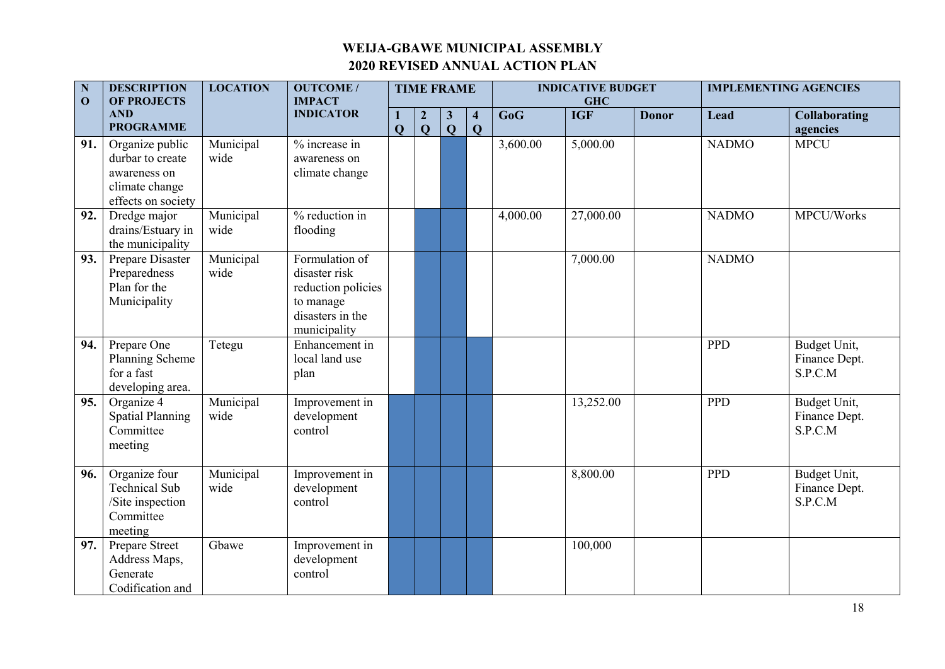| N<br>$\mathbf{O}$ | <b>DESCRIPTION</b><br><b>OF PROJECTS</b>                                                    | <b>LOCATION</b>   | <b>OUTCOME/</b><br><b>IMPACT</b>                                                                       |              |                                | <b>TIME FRAME</b>            |                                         |          | <b>INDICATIVE BUDGET</b><br><b>GHC</b> |              |              | <b>IMPLEMENTING AGENCIES</b>             |
|-------------------|---------------------------------------------------------------------------------------------|-------------------|--------------------------------------------------------------------------------------------------------|--------------|--------------------------------|------------------------------|-----------------------------------------|----------|----------------------------------------|--------------|--------------|------------------------------------------|
|                   | <b>AND</b><br><b>PROGRAMME</b>                                                              |                   | <b>INDICATOR</b>                                                                                       | $\mathbf{Q}$ | $\overline{2}$<br>$\mathbf{Q}$ | $\mathbf{3}$<br>$\mathbf{Q}$ | $\overline{\mathbf{4}}$<br>$\mathbf{Q}$ | GoG      | <b>IGF</b>                             | <b>Donor</b> | Lead         | <b>Collaborating</b><br>agencies         |
| 91.               | Organize public<br>durbar to create<br>awareness on<br>climate change<br>effects on society | Municipal<br>wide | % increase in<br>awareness on<br>climate change                                                        |              |                                |                              |                                         | 3,600.00 | 5,000.00                               |              | <b>NADMO</b> | <b>MPCU</b>                              |
| 92.               | Dredge major<br>drains/Estuary in<br>the municipality                                       | Municipal<br>wide | % reduction in<br>flooding                                                                             |              |                                |                              |                                         | 4,000.00 | 27,000.00                              |              | <b>NADMO</b> | MPCU/Works                               |
| 93.               | Prepare Disaster<br>Preparedness<br>Plan for the<br>Municipality                            | Municipal<br>wide | Formulation of<br>disaster risk<br>reduction policies<br>to manage<br>disasters in the<br>municipality |              |                                |                              |                                         |          | 7,000.00                               |              | <b>NADMO</b> |                                          |
| 94.               | Prepare One<br>Planning Scheme<br>for a fast<br>developing area.                            | Tetegu            | Enhancement in<br>local land use<br>plan                                                               |              |                                |                              |                                         |          |                                        |              | <b>PPD</b>   | Budget Unit,<br>Finance Dept.<br>S.P.C.M |
| 95.               | Organize 4<br><b>Spatial Planning</b><br>Committee<br>meeting                               | Municipal<br>wide | Improvement in<br>development<br>control                                                               |              |                                |                              |                                         |          | 13,252.00                              |              | <b>PPD</b>   | Budget Unit,<br>Finance Dept.<br>S.P.C.M |
| 96.               | Organize four<br><b>Technical Sub</b><br>/Site inspection<br>Committee<br>meeting           | Municipal<br>wide | Improvement in<br>development<br>control                                                               |              |                                |                              |                                         |          | 8,800.00                               |              | <b>PPD</b>   | Budget Unit,<br>Finance Dept.<br>S.P.C.M |
| 97.               | Prepare Street<br>Address Maps,<br>Generate<br>Codification and                             | Gbawe             | Improvement in<br>development<br>control                                                               |              |                                |                              |                                         |          | 100,000                                |              |              |                                          |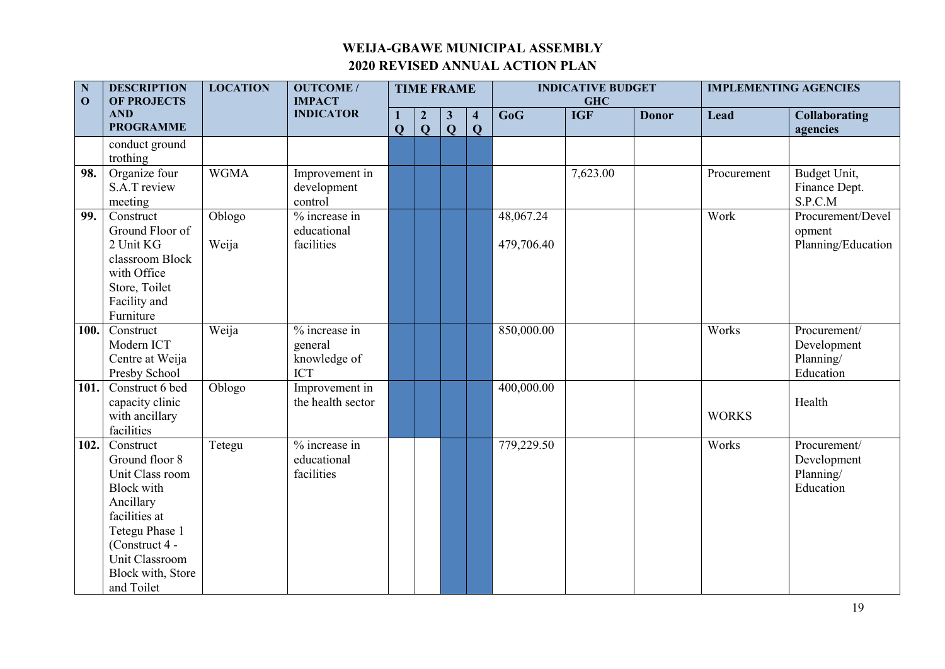| $\mathbf N$<br>$\mathbf{O}$ | <b>DESCRIPTION</b><br><b>OF PROJECTS</b>                                                                                                                                                   | <b>LOCATION</b> | <b>OUTCOME/</b><br><b>IMPACT</b>                       |        |                       | <b>TIME FRAME</b>            |                              |                         | <b>INDICATIVE BUDGET</b><br><b>GHC</b> |              | <b>IMPLEMENTING AGENCIES</b> |                                                       |
|-----------------------------|--------------------------------------------------------------------------------------------------------------------------------------------------------------------------------------------|-----------------|--------------------------------------------------------|--------|-----------------------|------------------------------|------------------------------|-------------------------|----------------------------------------|--------------|------------------------------|-------------------------------------------------------|
|                             | <b>AND</b><br><b>PROGRAMME</b>                                                                                                                                                             |                 | <b>INDICATOR</b>                                       | 1<br>Q | $\boldsymbol{2}$<br>Q | $\mathbf{3}$<br>$\mathbf{Q}$ | $\overline{\mathbf{4}}$<br>Q | GoG                     | <b>IGF</b>                             | <b>Donor</b> | Lead                         | <b>Collaborating</b><br>agencies                      |
|                             | conduct ground<br>trothing                                                                                                                                                                 |                 |                                                        |        |                       |                              |                              |                         |                                        |              |                              |                                                       |
| 98.                         | Organize four<br>S.A.T review<br>meeting                                                                                                                                                   | <b>WGMA</b>     | Improvement in<br>development<br>control               |        |                       |                              |                              |                         | 7,623.00                               |              | Procurement                  | Budget Unit,<br>Finance Dept.<br>S.P.C.M              |
| 99.                         | Construct<br>Ground Floor of<br>2 Unit KG<br>classroom Block<br>with Office<br>Store, Toilet<br>Facility and<br>Furniture                                                                  | Oblogo<br>Weija | $%$ increase in<br>educational<br>facilities           |        |                       |                              |                              | 48,067.24<br>479,706.40 |                                        |              | Work                         | Procurement/Devel<br>opment<br>Planning/Education     |
| 100.                        | Construct<br>Modern ICT<br>Centre at Weija<br>Presby School                                                                                                                                | Weija           | % increase in<br>general<br>knowledge of<br><b>ICT</b> |        |                       |                              |                              | 850,000.00              |                                        |              | Works                        | Procurement/<br>Development<br>Planning/<br>Education |
| 101.                        | Construct 6 bed<br>capacity clinic<br>with ancillary<br>facilities                                                                                                                         | Oblogo          | Improvement in<br>the health sector                    |        |                       |                              |                              | 400,000.00              |                                        |              | <b>WORKS</b>                 | Health                                                |
| 102.                        | Construct<br>Ground floor 8<br>Unit Class room<br><b>Block with</b><br>Ancillary<br>facilities at<br>Tetegu Phase 1<br>(Construct 4 -<br>Unit Classroom<br>Block with, Store<br>and Toilet | Tetegu          | $%$ increase in<br>educational<br>facilities           |        |                       |                              |                              | 779,229.50              |                                        |              | Works                        | Procurement/<br>Development<br>Planning/<br>Education |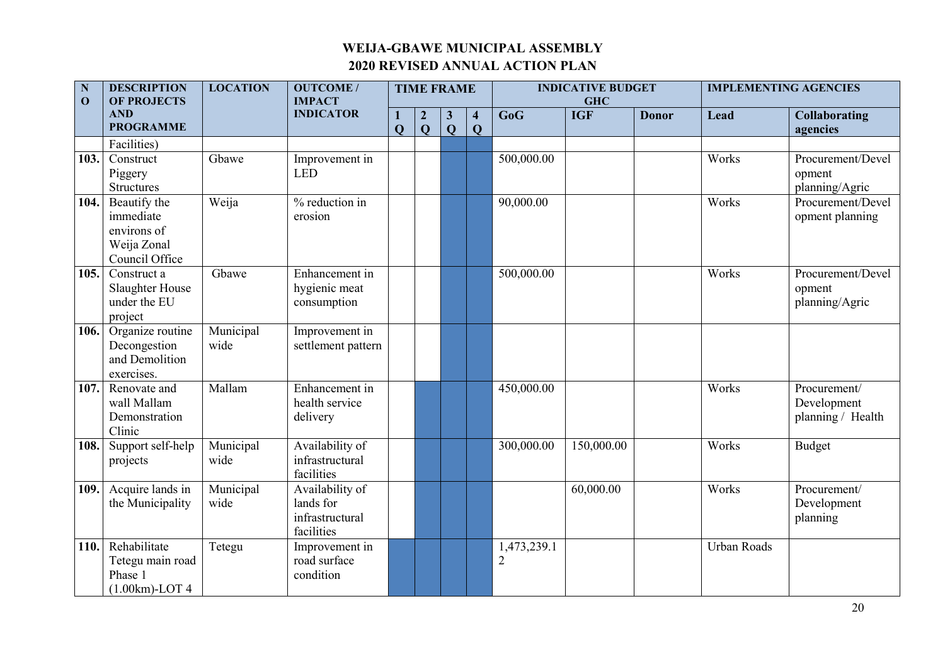| $\mathbf N$<br>$\mathbf{O}$ | <b>DESCRIPTION</b><br><b>OF PROJECTS</b>                                  | <b>LOCATION</b>   | <b>OUTCOME/</b><br><b>IMPACT</b>                              |              | <b>TIME FRAME</b>                |                              |                     |                               | <b>INDICATIVE BUDGET</b><br><b>GHC</b> |              |                    | <b>IMPLEMENTING AGENCIES</b>                     |
|-----------------------------|---------------------------------------------------------------------------|-------------------|---------------------------------------------------------------|--------------|----------------------------------|------------------------------|---------------------|-------------------------------|----------------------------------------|--------------|--------------------|--------------------------------------------------|
|                             | <b>AND</b><br><b>PROGRAMME</b>                                            |                   | <b>INDICATOR</b>                                              | $\mathbf{Q}$ | $\boldsymbol{2}$<br>$\mathbf{O}$ | $\mathbf{3}$<br>$\mathbf{Q}$ | $\overline{4}$<br>Q | GoG                           | <b>IGF</b>                             | <b>Donor</b> | Lead               | <b>Collaborating</b><br>agencies                 |
|                             | Facilities)                                                               |                   |                                                               |              |                                  |                              |                     |                               |                                        |              |                    |                                                  |
| 103.                        | Construct<br>Piggery<br><b>Structures</b>                                 | Gbawe             | Improvement in<br><b>LED</b>                                  |              |                                  |                              |                     | 500,000.00                    |                                        |              | Works              | Procurement/Devel<br>opment<br>planning/Agric    |
| 104.                        | Beautify the<br>immediate<br>environs of<br>Weija Zonal<br>Council Office | Weija             | % reduction in<br>erosion                                     |              |                                  |                              |                     | 90,000.00                     |                                        |              | Works              | Procurement/Devel<br>opment planning             |
| 105.                        | Construct a<br>Slaughter House<br>under the EU<br>project                 | Gbawe             | Enhancement in<br>hygienic meat<br>consumption                |              |                                  |                              |                     | 500,000.00                    |                                        |              | Works              | Procurement/Devel<br>opment<br>planning/Agric    |
| 106.                        | Organize routine<br>Decongestion<br>and Demolition<br>exercises.          | Municipal<br>wide | Improvement in<br>settlement pattern                          |              |                                  |                              |                     |                               |                                        |              |                    |                                                  |
| 107.                        | Renovate and<br>wall Mallam<br>Demonstration<br>Clinic                    | Mallam            | Enhancement in<br>health service<br>delivery                  |              |                                  |                              |                     | 450,000.00                    |                                        |              | Works              | Procurement/<br>Development<br>planning / Health |
| 108.                        | Support self-help<br>projects                                             | Municipal<br>wide | Availability of<br>infrastructural<br>facilities              |              |                                  |                              |                     | 300,000.00                    | 150,000.00                             |              | Works              | Budget                                           |
| 109.                        | Acquire lands in<br>the Municipality                                      | Municipal<br>wide | Availability of<br>lands for<br>infrastructural<br>facilities |              |                                  |                              |                     |                               | 60,000.00                              |              | Works              | Procurement/<br>Development<br>planning          |
| 110.                        | Rehabilitate<br>Tetegu main road<br>Phase 1<br>$(1.00km)$ -LOT 4          | Tetegu            | Improvement in<br>road surface<br>condition                   |              |                                  |                              |                     | 1,473,239.1<br>$\overline{2}$ |                                        |              | <b>Urban Roads</b> |                                                  |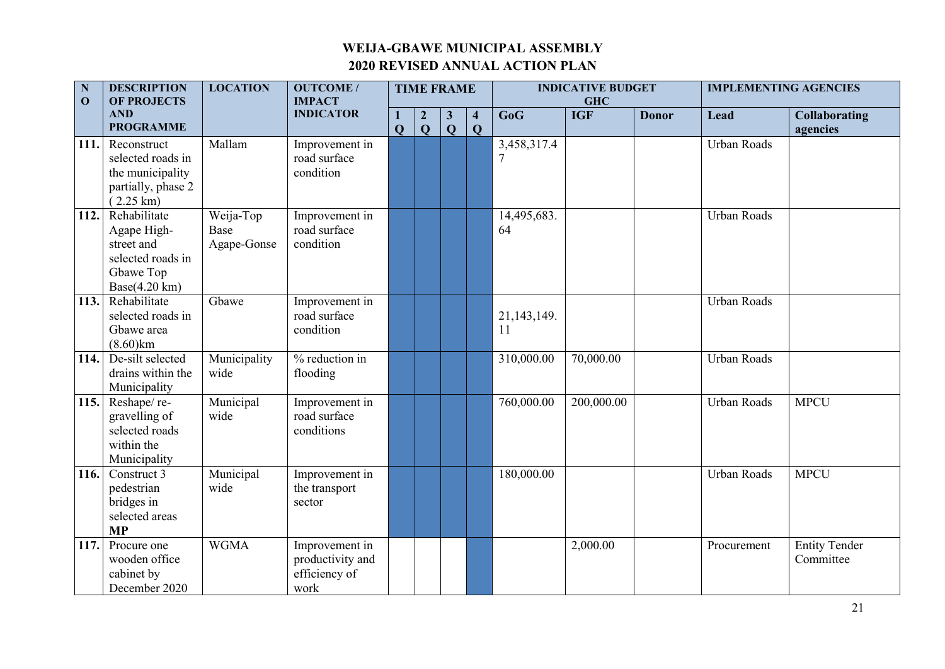| $\mathbf N$<br>$\mathbf{0}$ | <b>DESCRIPTION</b><br><b>OF PROJECTS</b>                                                                | <b>LOCATION</b>                  | <b>OUTCOME/</b><br><b>IMPACT</b>                            |                   | <b>TIME FRAME</b>                |                              |                              |                   | <b>INDICATIVE BUDGET</b><br><b>GHC</b> |              | <b>IMPLEMENTING AGENCIES</b> |                                   |
|-----------------------------|---------------------------------------------------------------------------------------------------------|----------------------------------|-------------------------------------------------------------|-------------------|----------------------------------|------------------------------|------------------------------|-------------------|----------------------------------------|--------------|------------------------------|-----------------------------------|
|                             | <b>AND</b><br><b>PROGRAMME</b>                                                                          |                                  | <b>INDICATOR</b>                                            | 1<br>$\mathbf{Q}$ | $\boldsymbol{2}$<br>$\mathbf{Q}$ | $\mathbf{3}$<br>$\mathbf{Q}$ | $\overline{\mathbf{4}}$<br>Q | GoG               | <b>IGF</b>                             | <b>Donor</b> | Lead                         | <b>Collaborating</b><br>agencies  |
| 111.                        | Reconstruct<br>selected roads in<br>the municipality<br>partially, phase 2<br>$(2.25 \text{ km})$       | Mallam                           | Improvement in<br>road surface<br>condition                 |                   |                                  |                              |                              | 3,458,317.4       |                                        |              | Urban Roads                  |                                   |
| 112.                        | Rehabilitate<br>Agape High-<br>street and<br>selected roads in<br>Gbawe Top<br>Base $(4.20 \text{ km})$ | Weija-Top<br>Base<br>Agape-Gonse | Improvement in<br>road surface<br>condition                 |                   |                                  |                              |                              | 14,495,683.<br>64 |                                        |              | <b>Urban Roads</b>           |                                   |
| 113.                        | Rehabilitate<br>selected roads in<br>Gbawe area<br>$(8.60)$ km                                          | Gbawe                            | Improvement in<br>road surface<br>condition                 |                   |                                  |                              |                              | 21,143,149.<br>11 |                                        |              | Urban Roads                  |                                   |
| 114.                        | De-silt selected<br>drains within the<br>Municipality                                                   | Municipality<br>wide             | % reduction in<br>flooding                                  |                   |                                  |                              |                              | 310,000.00        | 70,000.00                              |              | Urban Roads                  |                                   |
| 115.                        | Reshape/re-<br>gravelling of<br>selected roads<br>within the<br>Municipality                            | Municipal<br>wide                | Improvement in<br>road surface<br>conditions                |                   |                                  |                              |                              | 760,000.00        | 200,000.00                             |              | Urban Roads                  | <b>MPCU</b>                       |
| 116.                        | Construct 3<br>pedestrian<br>bridges in<br>selected areas<br><b>MP</b>                                  | Municipal<br>wide                | Improvement in<br>the transport<br>sector                   |                   |                                  |                              |                              | 180,000.00        |                                        |              | Urban Roads                  | <b>MPCU</b>                       |
| 117.                        | Procure one<br>wooden office<br>cabinet by<br>December 2020                                             | <b>WGMA</b>                      | Improvement in<br>productivity and<br>efficiency of<br>work |                   |                                  |                              |                              |                   | 2,000.00                               |              | Procurement                  | <b>Entity Tender</b><br>Committee |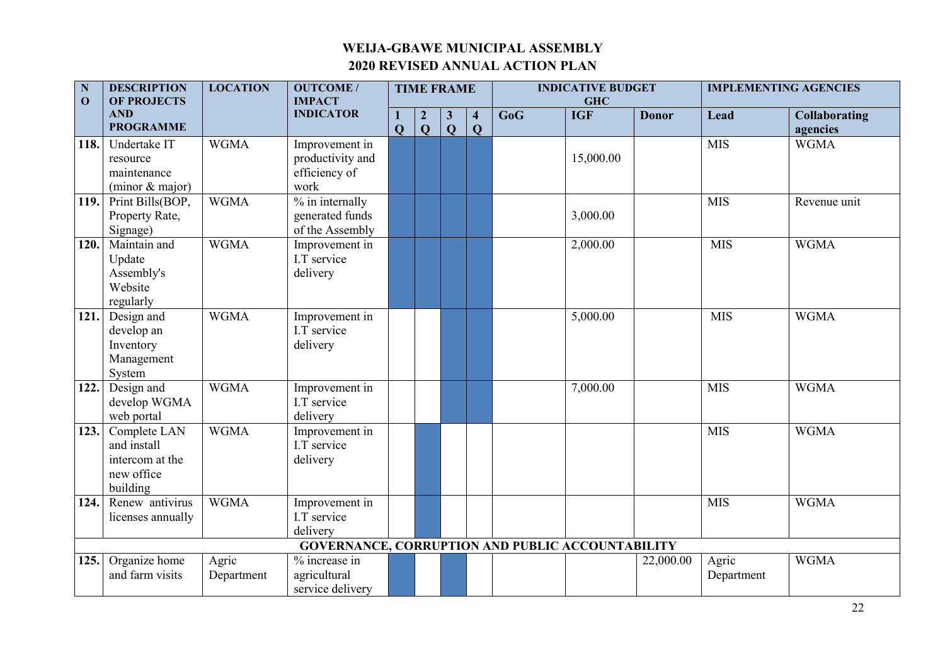| $\mathbf N$<br>$\mathbf{0}$ | <b>DESCRIPTION</b><br><b>OF PROJECTS</b>                                 | <b>LOCATION</b>     | <b>OUTCOME/</b><br><b>IMPACT</b>                                  |                | <b>TIME FRAME</b>                |                              |                                         |     | <b>INDICATIVE BUDGET</b><br><b>GHC</b> |              |                     | <b>IMPLEMENTING AGENCIES</b>     |
|-----------------------------|--------------------------------------------------------------------------|---------------------|-------------------------------------------------------------------|----------------|----------------------------------|------------------------------|-----------------------------------------|-----|----------------------------------------|--------------|---------------------|----------------------------------|
|                             | <b>AND</b><br><b>PROGRAMME</b>                                           |                     | <b>INDICATOR</b>                                                  | $\overline{Q}$ | $\boldsymbol{2}$<br>$\mathbf{Q}$ | $\mathbf{3}$<br>$\mathbf{Q}$ | $\overline{\mathbf{4}}$<br>$\mathbf{Q}$ | GoG | <b>IGF</b>                             | <b>Donor</b> | Lead                | <b>Collaborating</b><br>agencies |
| 118.                        | Undertake IT<br>resource<br>maintenance<br>(minor & major)               | <b>WGMA</b>         | Improvement in<br>productivity and<br>efficiency of<br>work       |                |                                  |                              |                                         |     | 15,000.00                              |              | <b>MIS</b>          | <b>WGMA</b>                      |
| 119.                        | Print Bills(BOP,<br>Property Rate,<br>Signage)                           | <b>WGMA</b>         | $\frac{9}{6}$ in internally<br>generated funds<br>of the Assembly |                |                                  |                              |                                         |     | 3,000.00                               |              | <b>MIS</b>          | Revenue unit                     |
| 120.                        | Maintain and<br>Update<br>Assembly's<br>Website<br>regularly             | <b>WGMA</b>         | Improvement in<br>I.T service<br>delivery                         |                |                                  |                              |                                         |     | 2,000.00                               |              | <b>MIS</b>          | <b>WGMA</b>                      |
| 121.                        | Design and<br>develop an<br>Inventory<br>Management<br>System            | <b>WGMA</b>         | Improvement in<br>I.T service<br>delivery                         |                |                                  |                              |                                         |     | 5,000.00                               |              | <b>MIS</b>          | <b>WGMA</b>                      |
| 122.                        | Design and<br>develop WGMA<br>web portal                                 | <b>WGMA</b>         | Improvement in<br>I.T service<br>delivery                         |                |                                  |                              |                                         |     | 7,000.00                               |              | <b>MIS</b>          | <b>WGMA</b>                      |
| 123.                        | Complete LAN<br>and install<br>intercom at the<br>new office<br>building | <b>WGMA</b>         | Improvement in<br>I.T service<br>delivery                         |                |                                  |                              |                                         |     |                                        |              | <b>MIS</b>          | <b>WGMA</b>                      |
| 124.                        | Renew antivirus<br>licenses annually                                     | <b>WGMA</b>         | Improvement in<br>I.T service<br>delivery                         |                |                                  |                              |                                         |     |                                        |              | <b>MIS</b>          | <b>WGMA</b>                      |
|                             |                                                                          |                     | <b>GOVERNANCE, CORRUPTION AND PUBLIC ACCOUNTABILITY</b>           |                |                                  |                              |                                         |     |                                        |              |                     |                                  |
| 125.                        | Organize home<br>and farm visits                                         | Agric<br>Department | % increase in<br>agricultural<br>service delivery                 |                |                                  |                              |                                         |     |                                        | 22,000.00    | Agric<br>Department | <b>WGMA</b>                      |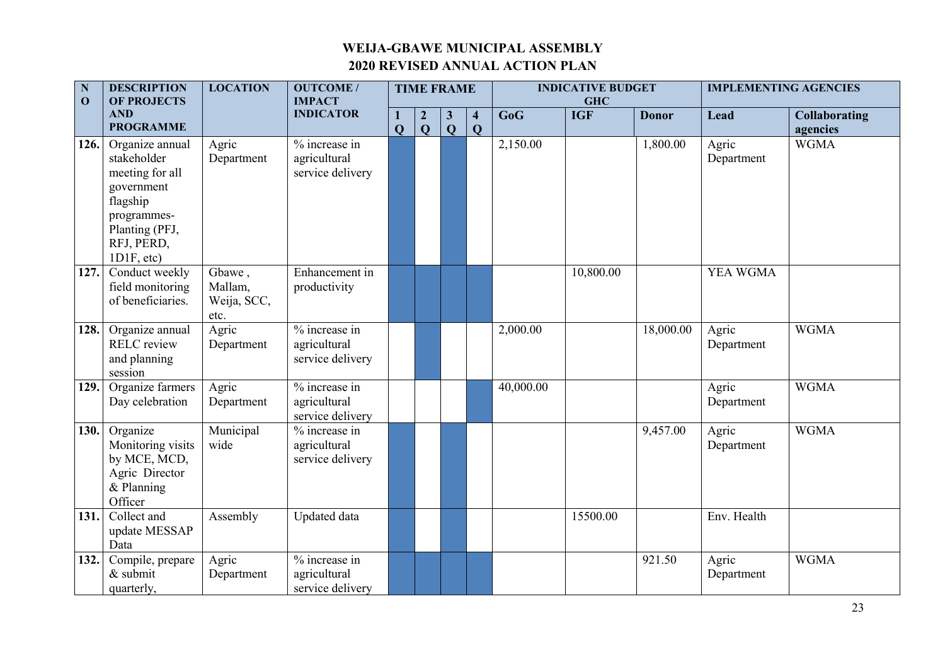| N<br>$\mathbf{0}$ | <b>DESCRIPTION</b><br><b>OF PROJECTS</b>                                                                                                 | <b>LOCATION</b>                          | <b>OUTCOME/</b><br><b>IMPACT</b>                  |                | <b>TIME FRAME</b>                |                              |                                         |           | <b>INDICATIVE BUDGET</b><br><b>GHC</b> |              | <b>IMPLEMENTING AGENCIES</b> |                                  |
|-------------------|------------------------------------------------------------------------------------------------------------------------------------------|------------------------------------------|---------------------------------------------------|----------------|----------------------------------|------------------------------|-----------------------------------------|-----------|----------------------------------------|--------------|------------------------------|----------------------------------|
|                   | <b>AND</b><br><b>PROGRAMME</b>                                                                                                           |                                          | <b>INDICATOR</b>                                  | $\overline{Q}$ | $\boldsymbol{2}$<br>$\mathbf{Q}$ | $\mathbf{3}$<br>$\mathbf{Q}$ | $\overline{\mathbf{4}}$<br>$\mathbf{Q}$ | GoG       | <b>IGF</b>                             | <b>Donor</b> | Lead                         | <b>Collaborating</b><br>agencies |
| 126.              | Organize annual<br>stakeholder<br>meeting for all<br>government<br>flagship<br>programmes-<br>Planting (PFJ,<br>RFJ, PERD,<br>1D1F, etc. | Agric<br>Department                      | % increase in<br>agricultural<br>service delivery |                |                                  |                              |                                         | 2,150.00  |                                        | 1,800.00     | Agric<br>Department          | <b>WGMA</b>                      |
| 127.              | Conduct weekly<br>field monitoring<br>of beneficiaries.                                                                                  | Gbawe,<br>Mallam,<br>Weija, SCC,<br>etc. | Enhancement in<br>productivity                    |                |                                  |                              |                                         |           | 10,800.00                              |              | YEA WGMA                     |                                  |
| 128.              | Organize annual<br><b>RELC</b> review<br>and planning<br>session                                                                         | Agric<br>Department                      | % increase in<br>agricultural<br>service delivery |                |                                  |                              |                                         | 2,000.00  |                                        | 18,000.00    | Agric<br>Department          | <b>WGMA</b>                      |
| 129.              | Organize farmers<br>Day celebration                                                                                                      | Agric<br>Department                      | % increase in<br>agricultural<br>service delivery |                |                                  |                              |                                         | 40,000.00 |                                        |              | Agric<br>Department          | <b>WGMA</b>                      |
| 130.              | Organize<br>Monitoring visits<br>by MCE, MCD,<br>Agric Director<br>& Planning<br>Officer                                                 | Municipal<br>wide                        | % increase in<br>agricultural<br>service delivery |                |                                  |                              |                                         |           |                                        | 9,457.00     | Agric<br>Department          | <b>WGMA</b>                      |
| 131.              | Collect and<br>update MESSAP<br>Data                                                                                                     | Assembly                                 | Updated data                                      |                |                                  |                              |                                         |           | 15500.00                               |              | Env. Health                  |                                  |
| 132.              | Compile, prepare<br>$&$ submit<br>quarterly,                                                                                             | Agric<br>Department                      | % increase in<br>agricultural<br>service delivery |                |                                  |                              |                                         |           |                                        | 921.50       | Agric<br>Department          | <b>WGMA</b>                      |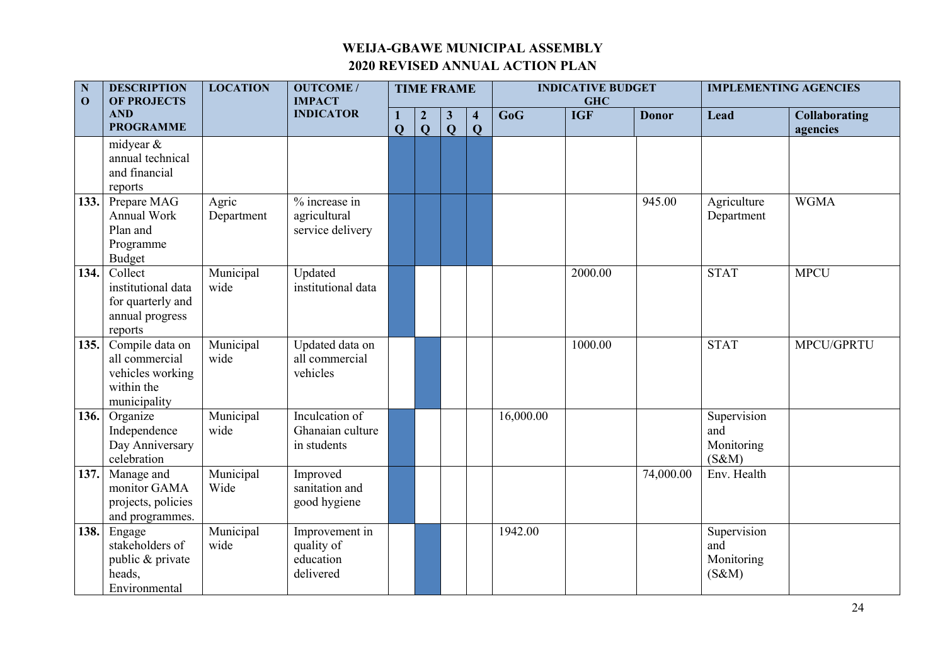| $\mathbf N$<br>$\mathbf{O}$ | <b>DESCRIPTION</b><br><b>OF PROJECTS</b>                                            | <b>LOCATION</b>     | <b>OUTCOME/</b><br><b>IMPACT</b>                       |                     |                                             | <b>TIME FRAME</b>         |                                           |           | <b>INDICATIVE BUDGET</b><br><b>GHC</b> |              | <b>IMPLEMENTING AGENCIES</b>              |                                  |
|-----------------------------|-------------------------------------------------------------------------------------|---------------------|--------------------------------------------------------|---------------------|---------------------------------------------|---------------------------|-------------------------------------------|-----------|----------------------------------------|--------------|-------------------------------------------|----------------------------------|
|                             | <b>AND</b><br><b>PROGRAMME</b>                                                      |                     | <b>INDICATOR</b>                                       | L<br>$\overline{Q}$ | $\boldsymbol{2}$<br>$\overline{\mathbf{Q}}$ | $\vert 3$<br>$\mathbf{Q}$ | $\overline{\mathbf{4}}$<br>$\overline{Q}$ | GoG       | <b>IGF</b>                             | <b>Donor</b> | Lead                                      | <b>Collaborating</b><br>agencies |
|                             | midyear &<br>annual technical<br>and financial<br>reports                           |                     |                                                        |                     |                                             |                           |                                           |           |                                        |              |                                           |                                  |
| 133.                        | Prepare MAG<br>Annual Work<br>Plan and<br>Programme<br>Budget                       | Agric<br>Department | % increase in<br>agricultural<br>service delivery      |                     |                                             |                           |                                           |           |                                        | 945.00       | Agriculture<br>Department                 | <b>WGMA</b>                      |
| 134.                        | Collect<br>institutional data<br>for quarterly and<br>annual progress<br>reports    | Municipal<br>wide   | Updated<br>institutional data                          |                     |                                             |                           |                                           |           | 2000.00                                |              | <b>STAT</b>                               | <b>MPCU</b>                      |
| 135.                        | Compile data on<br>all commercial<br>vehicles working<br>within the<br>municipality | Municipal<br>wide   | Updated data on<br>all commercial<br>vehicles          |                     |                                             |                           |                                           |           | 1000.00                                |              | <b>STAT</b>                               | MPCU/GPRTU                       |
| 136.                        | Organize<br>Independence<br>Day Anniversary<br>celebration                          | Municipal<br>wide   | Inculcation of<br>Ghanaian culture<br>in students      |                     |                                             |                           |                                           | 16,000.00 |                                        |              | Supervision<br>and<br>Monitoring<br>(S&M) |                                  |
| 137.                        | Manage and<br>monitor GAMA<br>projects, policies<br>and programmes.                 | Municipal<br>Wide   | Improved<br>sanitation and<br>good hygiene             |                     |                                             |                           |                                           |           |                                        | 74,000.00    | Env. Health                               |                                  |
| 138.                        | Engage<br>stakeholders of<br>public & private<br>heads,<br>Environmental            | Municipal<br>wide   | Improvement in<br>quality of<br>education<br>delivered |                     |                                             |                           |                                           | 1942.00   |                                        |              | Supervision<br>and<br>Monitoring<br>(S&M) |                                  |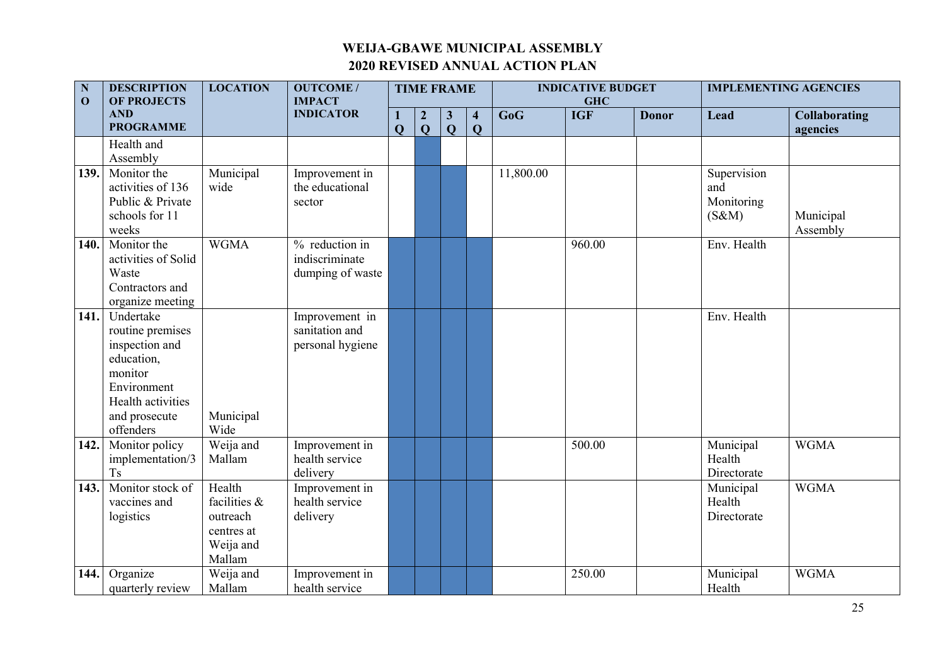| N<br>$\mathbf 0$ | <b>DESCRIPTION</b><br><b>OF PROJECTS</b>                                                                                                   | <b>LOCATION</b>                                                         | <b>OUTCOME/</b><br><b>IMPACT</b>                     |                   |                                | <b>TIME FRAME</b>              |                                        |           | <b>INDICATIVE BUDGET</b><br><b>GHC</b> |              | <b>IMPLEMENTING AGENCIES</b>              |                                  |  |
|------------------|--------------------------------------------------------------------------------------------------------------------------------------------|-------------------------------------------------------------------------|------------------------------------------------------|-------------------|--------------------------------|--------------------------------|----------------------------------------|-----------|----------------------------------------|--------------|-------------------------------------------|----------------------------------|--|
|                  | <b>AND</b><br><b>PROGRAMME</b>                                                                                                             |                                                                         | <b>INDICATOR</b>                                     | 1<br>$\mathbf{Q}$ | $\overline{2}$<br>$\mathbf{Q}$ | $\mathbf{3}$<br>$\overline{Q}$ | $\overline{\mathbf{4}}$<br>$\mathbf Q$ | GoG       | <b>IGF</b>                             | <b>Donor</b> | Lead                                      | <b>Collaborating</b><br>agencies |  |
|                  | Health and<br>Assembly                                                                                                                     |                                                                         |                                                      |                   |                                |                                |                                        |           |                                        |              |                                           |                                  |  |
| 139.             | Monitor the<br>activities of 136<br>Public & Private<br>schools for 11<br>weeks                                                            | Municipal<br>wide                                                       | Improvement in<br>the educational<br>sector          |                   |                                |                                |                                        | 11,800.00 |                                        |              | Supervision<br>and<br>Monitoring<br>(S&M) | Municipal<br>Assembly            |  |
| 140.             | Monitor the<br>activities of Solid<br>Waste<br>Contractors and<br>organize meeting                                                         | <b>WGMA</b>                                                             | % reduction in<br>indiscriminate<br>dumping of waste |                   |                                |                                |                                        |           | 960.00                                 |              | Env. Health                               |                                  |  |
| 141.             | Undertake<br>routine premises<br>inspection and<br>education,<br>monitor<br>Environment<br>Health activities<br>and prosecute<br>offenders | Municipal<br>Wide                                                       | Improvement in<br>sanitation and<br>personal hygiene |                   |                                |                                |                                        |           |                                        |              | Env. Health                               |                                  |  |
| 142.             | Monitor policy<br>implementation/3<br>T <sub>s</sub>                                                                                       | Weija and<br>Mallam                                                     | Improvement in<br>health service<br>delivery         |                   |                                |                                |                                        |           | 500.00                                 |              | Municipal<br>Health<br>Directorate        | <b>WGMA</b>                      |  |
| 143.             | Monitor stock of<br>vaccines and<br>logistics                                                                                              | Health<br>facilities &<br>outreach<br>centres at<br>Weija and<br>Mallam | Improvement in<br>health service<br>delivery         |                   |                                |                                |                                        |           |                                        |              | Municipal<br>Health<br>Directorate        | <b>WGMA</b>                      |  |
| 144.             | Organize<br>quarterly review                                                                                                               | Weija and<br>Mallam                                                     | Improvement in<br>health service                     |                   |                                |                                |                                        |           | 250.00                                 |              | Municipal<br>Health                       | <b>WGMA</b>                      |  |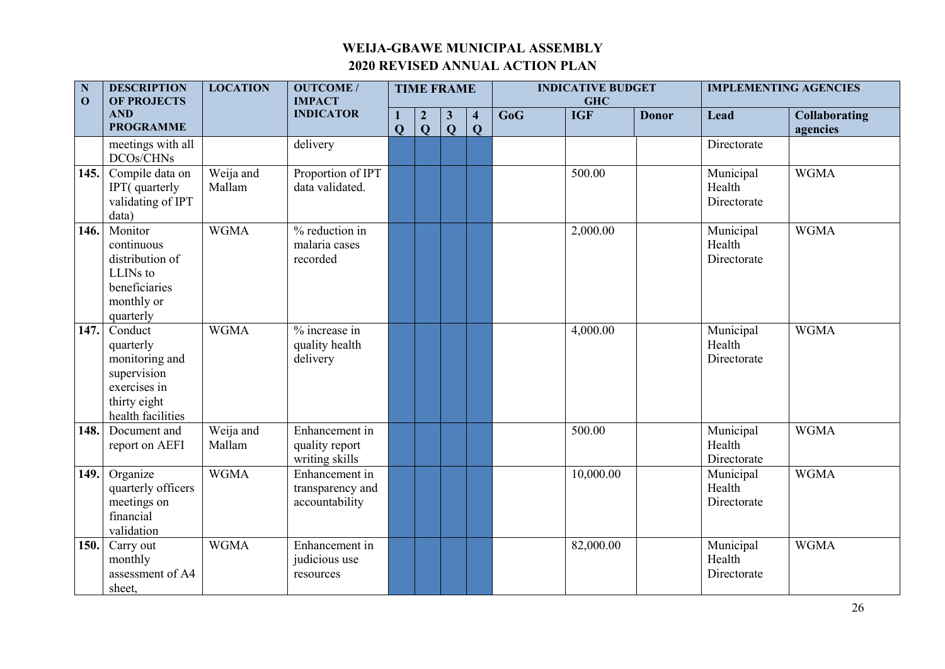| $\mathbf N$<br>$\mathbf{0}$ | <b>DESCRIPTION</b><br><b>OF PROJECTS</b>                                                                   | <b>LOCATION</b>     |                                                      | <b>TIME FRAME</b>   |                                |                              |                                         | <b>INDICATIVE BUDGET</b><br><b>GHC</b> |            |              | <b>IMPLEMENTING AGENCIES</b>       |                                  |
|-----------------------------|------------------------------------------------------------------------------------------------------------|---------------------|------------------------------------------------------|---------------------|--------------------------------|------------------------------|-----------------------------------------|----------------------------------------|------------|--------------|------------------------------------|----------------------------------|
|                             | <b>AND</b><br><b>PROGRAMME</b>                                                                             |                     | <b>IMPACT</b><br><b>INDICATOR</b>                    | 1<br>$\overline{Q}$ | $\overline{2}$<br>$\mathbf{Q}$ | $\mathbf{3}$<br>$\mathbf{Q}$ | $\overline{\mathbf{4}}$<br>$\mathbf{Q}$ | GoG                                    | <b>IGF</b> | <b>Donor</b> | Lead                               | <b>Collaborating</b><br>agencies |
|                             | meetings with all<br>DCOs/CHNs                                                                             |                     | delivery                                             |                     |                                |                              |                                         |                                        |            |              | Directorate                        |                                  |
| 145.                        | Compile data on<br>IPT(quarterly<br>validating of IPT<br>data)                                             | Weija and<br>Mallam | Proportion of IPT<br>data validated.                 |                     |                                |                              |                                         |                                        | 500.00     |              | Municipal<br>Health<br>Directorate | <b>WGMA</b>                      |
| 146.                        | Monitor<br>continuous<br>distribution of<br>LLINs to<br>beneficiaries<br>monthly or<br>quarterly           | <b>WGMA</b>         | % reduction in<br>malaria cases<br>recorded          |                     |                                |                              |                                         |                                        | 2,000.00   |              | Municipal<br>Health<br>Directorate | <b>WGMA</b>                      |
| 147.                        | Conduct<br>quarterly<br>monitoring and<br>supervision<br>exercises in<br>thirty eight<br>health facilities | <b>WGMA</b>         | % increase in<br>quality health<br>delivery          |                     |                                |                              |                                         |                                        | 4,000.00   |              | Municipal<br>Health<br>Directorate | <b>WGMA</b>                      |
| 148.                        | Document and<br>report on AEFI                                                                             | Weija and<br>Mallam | Enhancement in<br>quality report<br>writing skills   |                     |                                |                              |                                         |                                        | 500.00     |              | Municipal<br>Health<br>Directorate | <b>WGMA</b>                      |
| 149.                        | Organize<br>quarterly officers<br>meetings on<br>financial<br>validation                                   | <b>WGMA</b>         | Enhancement in<br>transparency and<br>accountability |                     |                                |                              |                                         |                                        | 10,000.00  |              | Municipal<br>Health<br>Directorate | <b>WGMA</b>                      |
| 150.                        | Carry out<br>monthly<br>assessment of A4<br>sheet,                                                         | <b>WGMA</b>         | Enhancement in<br>judicious use<br>resources         |                     |                                |                              |                                         |                                        | 82,000.00  |              | Municipal<br>Health<br>Directorate | <b>WGMA</b>                      |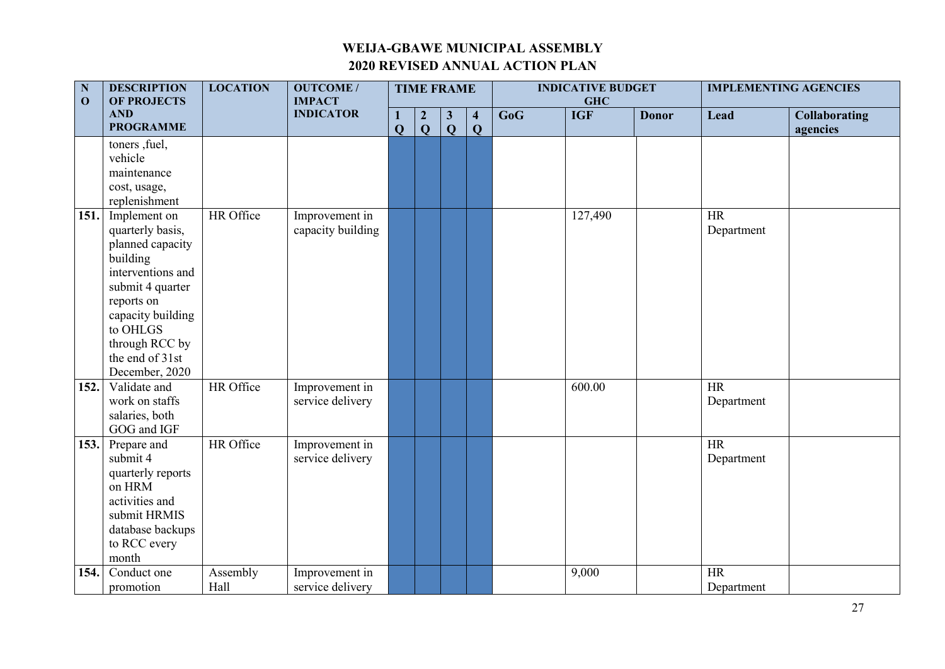| $\mathbf N$<br>$\mathbf 0$ | <b>DESCRIPTION</b><br><b>OF PROJECTS</b>                                                                                                                                                                                         | <b>LOCATION</b>  | <b>OUTCOME/</b><br><b>IMPACT</b>    | <b>TIME FRAME</b> |                                |                              |                                         |     | <b>INDICATIVE BUDGET</b><br><b>GHC</b> |              | <b>IMPLEMENTING AGENCIES</b> |                                  |  |
|----------------------------|----------------------------------------------------------------------------------------------------------------------------------------------------------------------------------------------------------------------------------|------------------|-------------------------------------|-------------------|--------------------------------|------------------------------|-----------------------------------------|-----|----------------------------------------|--------------|------------------------------|----------------------------------|--|
|                            | <b>AND</b><br><b>PROGRAMME</b>                                                                                                                                                                                                   |                  | <b>INDICATOR</b>                    | $\mathbf{Q}$      | $\overline{2}$<br>$\mathbf{Q}$ | $\mathbf{3}$<br>$\mathbf{Q}$ | $\overline{\mathbf{4}}$<br>$\mathbf{Q}$ | GoG | <b>IGF</b>                             | <b>Donor</b> | <b>Lead</b>                  | <b>Collaborating</b><br>agencies |  |
|                            | toners , fuel,<br>vehicle<br>maintenance<br>cost, usage,                                                                                                                                                                         |                  |                                     |                   |                                |                              |                                         |     |                                        |              |                              |                                  |  |
| 151.                       | replenishment<br>Implement on<br>quarterly basis,<br>planned capacity<br>building<br>interventions and<br>submit 4 quarter<br>reports on<br>capacity building<br>to OHLGS<br>through RCC by<br>the end of 31st<br>December, 2020 | HR Office        | Improvement in<br>capacity building |                   |                                |                              |                                         |     | 127,490                                |              | <b>HR</b><br>Department      |                                  |  |
| 152.                       | Validate and<br>work on staffs<br>salaries, both<br>GOG and IGF                                                                                                                                                                  | HR Office        | Improvement in<br>service delivery  |                   |                                |                              |                                         |     | 600.00                                 |              | <b>HR</b><br>Department      |                                  |  |
| 153.                       | Prepare and<br>submit 4<br>quarterly reports<br>on HRM<br>activities and<br>submit HRMIS<br>database backups<br>to RCC every<br>month                                                                                            | HR Office        | Improvement in<br>service delivery  |                   |                                |                              |                                         |     |                                        |              | HR<br>Department             |                                  |  |
| 154.                       | Conduct one<br>promotion                                                                                                                                                                                                         | Assembly<br>Hall | Improvement in<br>service delivery  |                   |                                |                              |                                         |     | 9,000                                  |              | <b>HR</b><br>Department      |                                  |  |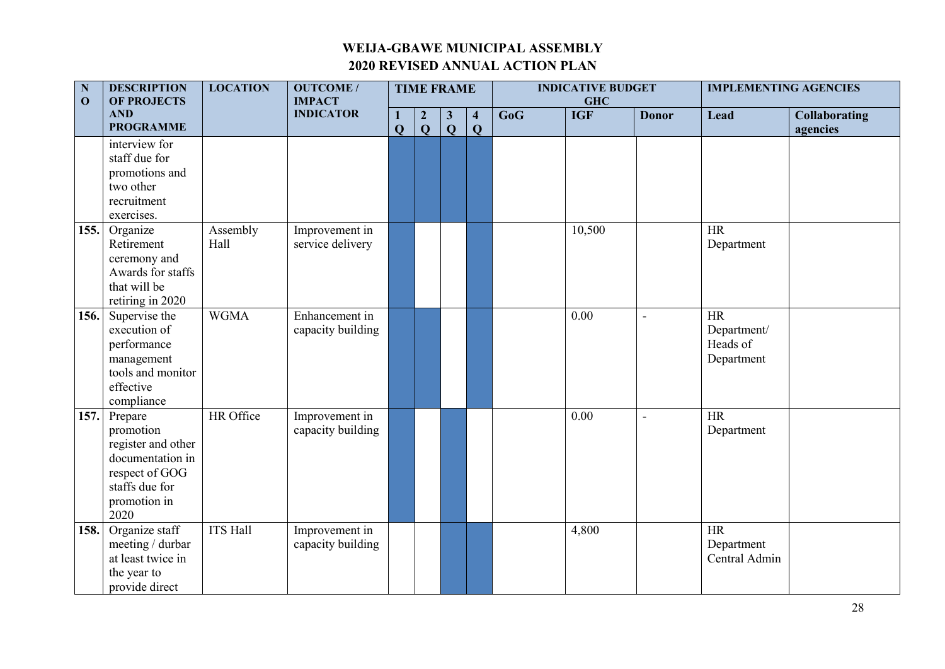| $\overline{\mathbf{N}}$<br><b>DESCRIPTION</b><br><b>LOCATION</b><br>$\mathbf{O}$<br><b>OF PROJECTS</b> |                                                                                                                            | <b>OUTCOME/</b><br><b>IMPACT</b> | <b>TIME FRAME</b>                   |              |                                |                              |                                         | <b>INDICATIVE BUDGET</b><br><b>GHC</b> |            | <b>IMPLEMENTING AGENCIES</b> |                                                    |                                  |
|--------------------------------------------------------------------------------------------------------|----------------------------------------------------------------------------------------------------------------------------|----------------------------------|-------------------------------------|--------------|--------------------------------|------------------------------|-----------------------------------------|----------------------------------------|------------|------------------------------|----------------------------------------------------|----------------------------------|
|                                                                                                        | <b>AND</b><br><b>PROGRAMME</b>                                                                                             |                                  | <b>INDICATOR</b>                    | $\mathbf{Q}$ | $\overline{2}$<br>$\mathbf{Q}$ | $\mathbf{3}$<br>$\mathbf{Q}$ | $\overline{\mathbf{4}}$<br>$\mathbf{Q}$ | GoG                                    | <b>IGF</b> | <b>Donor</b>                 | Lead                                               | <b>Collaborating</b><br>agencies |
|                                                                                                        | interview for<br>staff due for<br>promotions and<br>two other<br>recruitment<br>exercises.                                 |                                  |                                     |              |                                |                              |                                         |                                        |            |                              |                                                    |                                  |
| 155.                                                                                                   | Organize<br>Retirement<br>ceremony and<br>Awards for staffs<br>that will be<br>retiring in 2020                            | Assembly<br>Hall                 | Improvement in<br>service delivery  |              |                                |                              |                                         |                                        | 10,500     |                              | <b>HR</b><br>Department                            |                                  |
| 156.                                                                                                   | Supervise the<br>execution of<br>performance<br>management<br>tools and monitor<br>effective<br>compliance                 | <b>WGMA</b>                      | Enhancement in<br>capacity building |              |                                |                              |                                         |                                        | 0.00       | $\overline{a}$               | <b>HR</b><br>Department/<br>Heads of<br>Department |                                  |
| 157.                                                                                                   | Prepare<br>promotion<br>register and other<br>documentation in<br>respect of GOG<br>staffs due for<br>promotion in<br>2020 | HR Office                        | Improvement in<br>capacity building |              |                                |                              |                                         |                                        | 0.00       |                              | HR<br>Department                                   |                                  |
| 158.                                                                                                   | Organize staff<br>meeting / durbar<br>at least twice in<br>the year to<br>provide direct                                   | <b>ITS Hall</b>                  | Improvement in<br>capacity building |              |                                |                              |                                         |                                        | 4,800      |                              | <b>HR</b><br>Department<br>Central Admin           |                                  |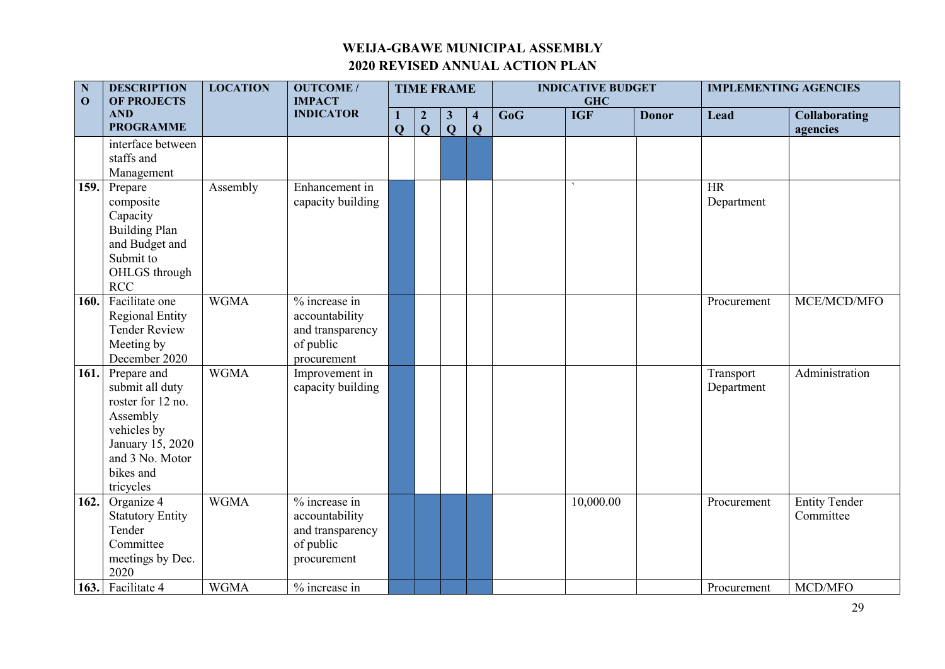| ${\bf N}$<br>$\mathbf{O}$ | <b>DESCRIPTION</b><br><b>OF PROJECTS</b>                                                                                                        | <b>LOCATION</b> | <b>OUTCOME/</b><br><b>IMPACT</b>                                                |                     | <b>TIME FRAME</b>                |                              |                                | <b>INDICATIVE BUDGET</b><br><b>GHC</b> |            |              | <b>IMPLEMENTING AGENCIES</b> |                                   |  |  |
|---------------------------|-------------------------------------------------------------------------------------------------------------------------------------------------|-----------------|---------------------------------------------------------------------------------|---------------------|----------------------------------|------------------------------|--------------------------------|----------------------------------------|------------|--------------|------------------------------|-----------------------------------|--|--|
|                           | <b>AND</b><br><b>PROGRAMME</b>                                                                                                                  |                 | <b>INDICATOR</b>                                                                | 1<br>$\overline{Q}$ | $\overline{2}$<br>$\overline{Q}$ | $\mathbf{3}$<br>$\mathbf{Q}$ | $\overline{4}$<br>$\mathbf{Q}$ | GoG                                    | <b>IGF</b> | <b>Donor</b> | Lead                         | <b>Collaborating</b><br>agencies  |  |  |
|                           | interface between<br>staffs and<br>Management                                                                                                   |                 |                                                                                 |                     |                                  |                              |                                |                                        |            |              |                              |                                   |  |  |
| 159.                      | Prepare<br>composite<br>Capacity<br><b>Building Plan</b><br>and Budget and<br>Submit to<br>OHLGS through<br>RCC                                 | Assembly        | Enhancement in<br>capacity building                                             |                     |                                  |                              |                                |                                        |            |              | <b>HR</b><br>Department      |                                   |  |  |
| 160.                      | Facilitate one<br><b>Regional Entity</b><br><b>Tender Review</b><br>Meeting by<br>December 2020                                                 | <b>WGMA</b>     | % increase in<br>accountability<br>and transparency<br>of public<br>procurement |                     |                                  |                              |                                |                                        |            |              | Procurement                  | MCE/MCD/MFO                       |  |  |
| 161.                      | Prepare and<br>submit all duty<br>roster for 12 no.<br>Assembly<br>vehicles by<br>January 15, 2020<br>and 3 No. Motor<br>bikes and<br>tricycles | <b>WGMA</b>     | Improvement in<br>capacity building                                             |                     |                                  |                              |                                |                                        |            |              | Transport<br>Department      | Administration                    |  |  |
| 162.                      | Organize 4<br><b>Statutory Entity</b><br>Tender<br>Committee<br>meetings by Dec.<br>2020                                                        | <b>WGMA</b>     | % increase in<br>accountability<br>and transparency<br>of public<br>procurement |                     |                                  |                              |                                |                                        | 10,000.00  |              | Procurement                  | <b>Entity Tender</b><br>Committee |  |  |
|                           | 163. Facilitate 4                                                                                                                               | <b>WGMA</b>     | % increase in                                                                   |                     |                                  |                              |                                |                                        |            |              | Procurement                  | MCD/MFO                           |  |  |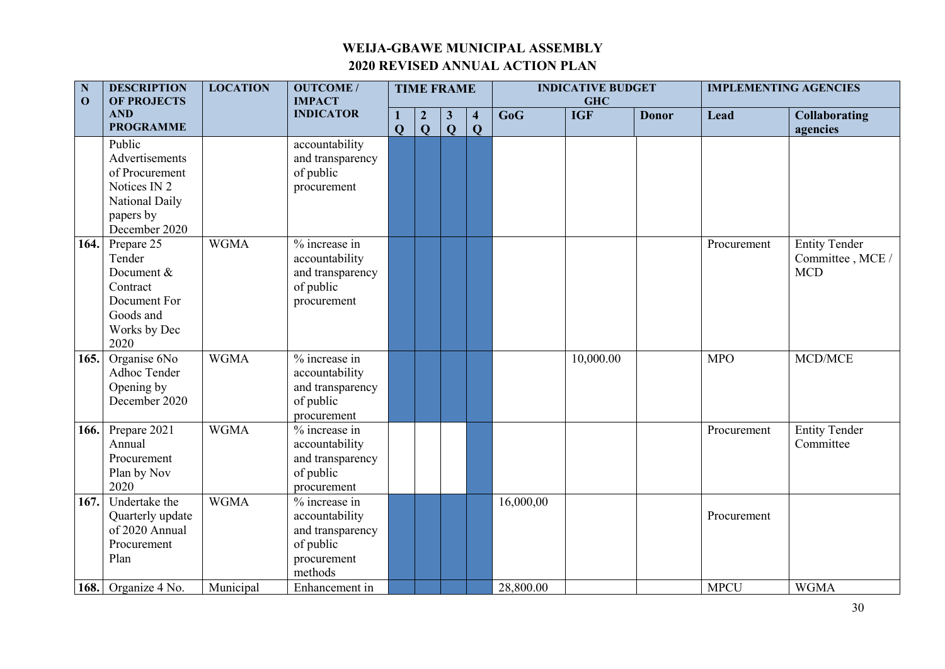| N<br><b>DESCRIPTION</b><br>$\mathbf 0$<br><b>OF PROJECTS</b> | <b>LOCATION</b>                                                                                            | <b>OUTCOME/</b><br><b>IMPACT</b> | <b>TIME FRAME</b>                                                                            |                   |                                  |                   |                              | <b>INDICATIVE BUDGET</b><br><b>GHC</b> |            | <b>IMPLEMENTING AGENCIES</b> |             |                                                       |
|--------------------------------------------------------------|------------------------------------------------------------------------------------------------------------|----------------------------------|----------------------------------------------------------------------------------------------|-------------------|----------------------------------|-------------------|------------------------------|----------------------------------------|------------|------------------------------|-------------|-------------------------------------------------------|
|                                                              | <b>AND</b><br><b>PROGRAMME</b>                                                                             |                                  | <b>INDICATOR</b>                                                                             | 1<br>$\mathbf{Q}$ | $\boldsymbol{2}$<br>$\mathbf{Q}$ | $\mathbf{3}$<br>Q | $\overline{\mathbf{4}}$<br>Q | GoG                                    | <b>IGF</b> | <b>Donor</b>                 | Lead        | <b>Collaborating</b><br>agencies                      |
|                                                              | Public<br>Advertisements<br>of Procurement<br>Notices IN 2<br>National Daily<br>papers by<br>December 2020 |                                  | accountability<br>and transparency<br>of public<br>procurement                               |                   |                                  |                   |                              |                                        |            |                              |             |                                                       |
| 164.                                                         | Prepare 25<br>Tender<br>Document &<br>Contract<br>Document For<br>Goods and<br>Works by Dec<br>2020        | <b>WGMA</b>                      | % increase in<br>accountability<br>and transparency<br>of public<br>procurement              |                   |                                  |                   |                              |                                        |            |                              | Procurement | <b>Entity Tender</b><br>Committee, MCE/<br><b>MCD</b> |
| 165.                                                         | Organise $6\overline{No}$<br>Adhoc Tender<br>Opening by<br>December 2020                                   | <b>WGMA</b>                      | % increase in<br>accountability<br>and transparency<br>of public<br>procurement              |                   |                                  |                   |                              |                                        | 10,000.00  |                              | <b>MPO</b>  | MCD/MCE                                               |
| 166.                                                         | Prepare 2021<br>Annual<br>Procurement<br>Plan by Nov<br>2020                                               | <b>WGMA</b>                      | % increase in<br>accountability<br>and transparency<br>of public<br>procurement              |                   |                                  |                   |                              |                                        |            |                              | Procurement | <b>Entity Tender</b><br>Committee                     |
| 167.                                                         | Undertake the<br>Quarterly update<br>of 2020 Annual<br>Procurement<br>Plan                                 | <b>WGMA</b>                      | $%$ increase in<br>accountability<br>and transparency<br>of public<br>procurement<br>methods |                   |                                  |                   |                              | 16,000,00                              |            |                              | Procurement |                                                       |
|                                                              | 168. Organize $4$ No.                                                                                      | Municipal                        | Enhancement in                                                                               |                   |                                  |                   |                              | 28,800.00                              |            |                              | <b>MPCU</b> | <b>WGMA</b>                                           |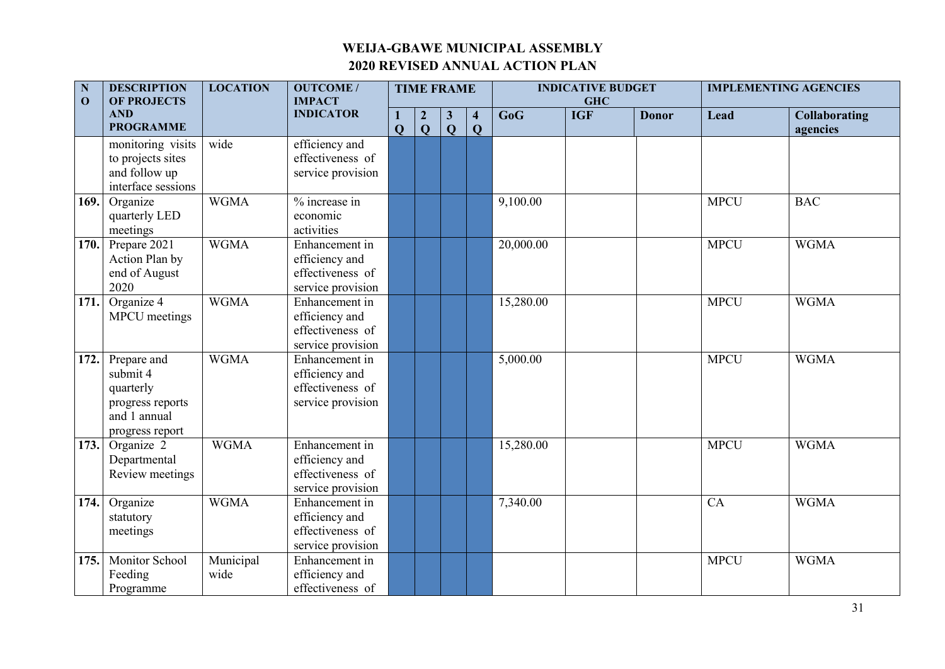| $\mathbf N$<br>$\mathbf{0}$ | <b>DESCRIPTION</b><br><b>OF PROJECTS</b>                                                    | <b>LOCATION</b>   | <b>OUTCOME/</b><br><b>IMPACT</b>                                          | <b>TIME FRAME</b> |                                  |                              |                                         |           | <b>INDICATIVE BUDGET</b><br><b>GHC</b> | <b>IMPLEMENTING AGENCIES</b> |             |                                  |
|-----------------------------|---------------------------------------------------------------------------------------------|-------------------|---------------------------------------------------------------------------|-------------------|----------------------------------|------------------------------|-----------------------------------------|-----------|----------------------------------------|------------------------------|-------------|----------------------------------|
|                             | <b>AND</b><br><b>PROGRAMME</b>                                                              |                   | <b>INDICATOR</b>                                                          | $\overline{Q}$    | $\boldsymbol{2}$<br>$\mathbf{Q}$ | $\mathbf{3}$<br>$\mathbf{Q}$ | $\overline{\mathbf{4}}$<br>$\mathbf{Q}$ | GoG       | <b>IGF</b>                             | <b>Donor</b>                 | Lead        | <b>Collaborating</b><br>agencies |
|                             | monitoring visits<br>to projects sites<br>and follow up<br>interface sessions               | wide              | efficiency and<br>effectiveness of<br>service provision                   |                   |                                  |                              |                                         |           |                                        |                              |             |                                  |
| 169.                        | Organize<br>quarterly LED<br>meetings                                                       | <b>WGMA</b>       | $\frac{1}{2}$ increase in<br>economic<br>activities                       |                   |                                  |                              |                                         | 9,100.00  |                                        |                              | <b>MPCU</b> | <b>BAC</b>                       |
| 170.                        | Prepare 2021<br>Action Plan by<br>end of August<br>2020                                     | <b>WGMA</b>       | Enhancement in<br>efficiency and<br>effectiveness of<br>service provision |                   |                                  |                              |                                         | 20,000.00 |                                        |                              | <b>MPCU</b> | <b>WGMA</b>                      |
| 171.                        | Organize 4<br><b>MPCU</b> meetings                                                          | <b>WGMA</b>       | Enhancement in<br>efficiency and<br>effectiveness of<br>service provision |                   |                                  |                              |                                         | 15,280.00 |                                        |                              | <b>MPCU</b> | <b>WGMA</b>                      |
| 172.                        | Prepare and<br>submit 4<br>quarterly<br>progress reports<br>and 1 annual<br>progress report | <b>WGMA</b>       | Enhancement in<br>efficiency and<br>effectiveness of<br>service provision |                   |                                  |                              |                                         | 5,000.00  |                                        |                              | <b>MPCU</b> | <b>WGMA</b>                      |
| 173.                        | Organize 2<br>Departmental<br>Review meetings                                               | <b>WGMA</b>       | Enhancement in<br>efficiency and<br>effectiveness of<br>service provision |                   |                                  |                              |                                         | 15,280.00 |                                        |                              | <b>MPCU</b> | <b>WGMA</b>                      |
| 174.                        | Organize<br>statutory<br>meetings                                                           | <b>WGMA</b>       | Enhancement in<br>efficiency and<br>effectiveness of<br>service provision |                   |                                  |                              |                                         | 7,340.00  |                                        |                              | CA          | <b>WGMA</b>                      |
| 175.                        | Monitor School<br>Feeding<br>Programme                                                      | Municipal<br>wide | Enhancement in<br>efficiency and<br>effectiveness of                      |                   |                                  |                              |                                         |           |                                        |                              | <b>MPCU</b> | <b>WGMA</b>                      |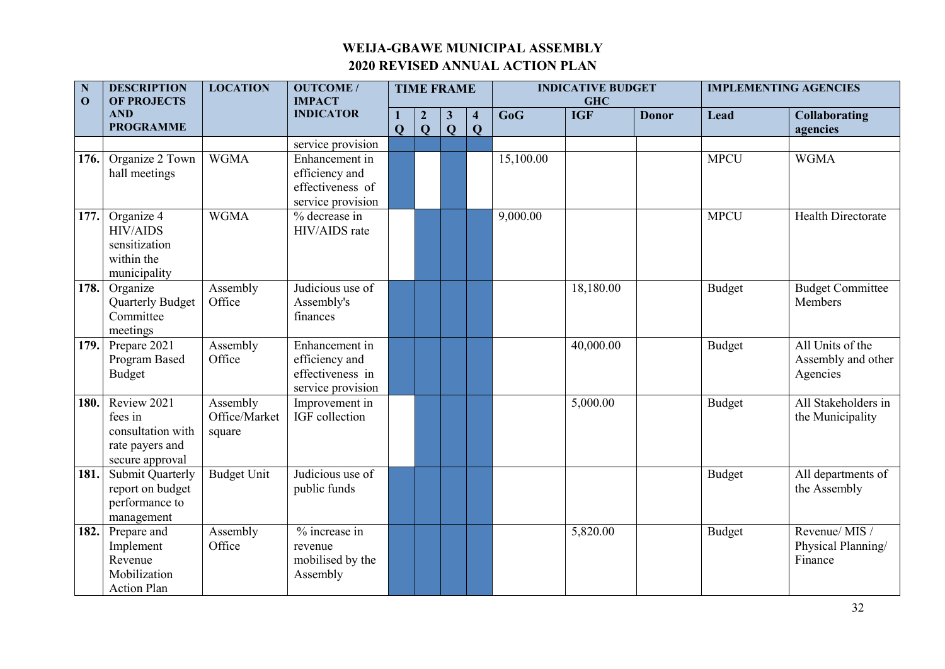| $\mathbf N$<br>$\mathbf{O}$ | <b>DESCRIPTION</b><br><b>OF PROJECTS</b>                                          | <b>LOCATION</b>                     | <b>OUTCOME/</b><br><b>IMPACT</b>                                                               |                   | <b>TIME FRAME</b>     |                   |                                         |           | <b>INDICATIVE BUDGET</b><br><b>GHC</b> |              | <b>IMPLEMENTING AGENCIES</b> |                                                    |  |
|-----------------------------|-----------------------------------------------------------------------------------|-------------------------------------|------------------------------------------------------------------------------------------------|-------------------|-----------------------|-------------------|-----------------------------------------|-----------|----------------------------------------|--------------|------------------------------|----------------------------------------------------|--|
|                             | <b>AND</b><br><b>PROGRAMME</b>                                                    |                                     | <b>INDICATOR</b>                                                                               | 1<br>$\mathbf{Q}$ | $\boldsymbol{2}$<br>Q | $\mathbf{3}$<br>Q | $\overline{\mathbf{4}}$<br>$\mathbf{Q}$ | GoG       | <b>IGF</b>                             | <b>Donor</b> | <b>Lead</b>                  | <b>Collaborating</b><br>agencies                   |  |
| 176.                        | Organize 2 Town<br>hall meetings                                                  | <b>WGMA</b>                         | service provision<br>Enhancement in<br>efficiency and<br>effectiveness of<br>service provision |                   |                       |                   |                                         | 15,100.00 |                                        |              | <b>MPCU</b>                  | <b>WGMA</b>                                        |  |
| 177.                        | Organize 4<br><b>HIV/AIDS</b><br>sensitization<br>within the<br>municipality      | <b>WGMA</b>                         | % decrease in<br>HIV/AIDS rate                                                                 |                   |                       |                   |                                         | 9,000.00  |                                        |              | <b>MPCU</b>                  | Health Directorate                                 |  |
| 178.                        | Organize<br><b>Quarterly Budget</b><br>Committee<br>meetings                      | Assembly<br>Office                  | Judicious use of<br>Assembly's<br>finances                                                     |                   |                       |                   |                                         |           | 18,180.00                              |              | <b>Budget</b>                | <b>Budget Committee</b><br>Members                 |  |
| 179.                        | Prepare 2021<br>Program Based<br><b>Budget</b>                                    | Assembly<br>Office                  | Enhancement in<br>efficiency and<br>effectiveness in<br>service provision                      |                   |                       |                   |                                         |           | 40,000.00                              |              | <b>Budget</b>                | All Units of the<br>Assembly and other<br>Agencies |  |
| 180.                        | Review 2021<br>fees in<br>consultation with<br>rate payers and<br>secure approval | Assembly<br>Office/Market<br>square | Improvement in<br>IGF collection                                                               |                   |                       |                   |                                         |           | 5,000.00                               |              | <b>Budget</b>                | All Stakeholders in<br>the Municipality            |  |
| 181.                        | <b>Submit Quarterly</b><br>report on budget<br>performance to<br>management       | <b>Budget Unit</b>                  | Judicious use of<br>public funds                                                               |                   |                       |                   |                                         |           |                                        |              | <b>Budget</b>                | All departments of<br>the Assembly                 |  |
| 182.                        | Prepare and<br>Implement<br>Revenue<br>Mobilization<br><b>Action Plan</b>         | Assembly<br>Office                  | % increase in<br>revenue<br>mobilised by the<br>Assembly                                       |                   |                       |                   |                                         |           | 5,820.00                               |              | <b>Budget</b>                | Revenue/MIS /<br>Physical Planning/<br>Finance     |  |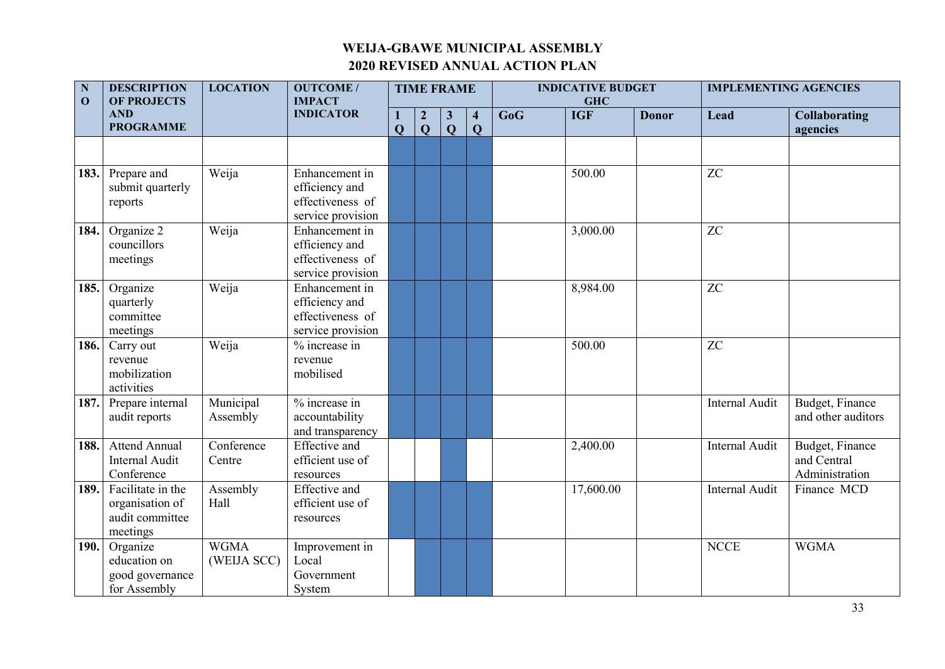| $\mathbf N$<br>$\mathbf{O}$ | <b>DESCRIPTION</b><br><b>OF PROJECTS</b>                            | <b>LOCATION</b>                          | <b>OUTCOME/</b><br><b>IMPACT</b>                                          |              |                                  | <b>TIME FRAME</b>            |                              | <b>INDICATIVE BUDGET</b><br><b>GHC</b> |            |              | <b>IMPLEMENTING AGENCIES</b> |                                                  |  |
|-----------------------------|---------------------------------------------------------------------|------------------------------------------|---------------------------------------------------------------------------|--------------|----------------------------------|------------------------------|------------------------------|----------------------------------------|------------|--------------|------------------------------|--------------------------------------------------|--|
|                             | <b>AND</b><br><b>PROGRAMME</b>                                      |                                          | <b>INDICATOR</b>                                                          | $\mathbf{Q}$ | $\boldsymbol{2}$<br>$\mathbf{Q}$ | $\mathbf{3}$<br>$\mathbf{Q}$ | $\overline{\mathbf{4}}$<br>Q | GoG                                    | <b>IGF</b> | <b>Donor</b> | Lead                         | <b>Collaborating</b><br>agencies                 |  |
|                             |                                                                     |                                          |                                                                           |              |                                  |                              |                              |                                        |            |              |                              |                                                  |  |
| 183.                        | Prepare and<br>submit quarterly<br>reports                          | Weija                                    | Enhancement in<br>efficiency and<br>effectiveness of<br>service provision |              |                                  |                              |                              |                                        | 500.00     |              | ${\rm ZC}$                   |                                                  |  |
| 184.                        | Organize 2<br>councillors<br>meetings                               | Weija                                    | Enhancement in<br>efficiency and<br>effectiveness of<br>service provision |              |                                  |                              |                              |                                        | 3,000.00   |              | ZC                           |                                                  |  |
| 185.                        | Organize<br>quarterly<br>committee<br>meetings                      | Weija                                    | Enhancement in<br>efficiency and<br>effectiveness of<br>service provision |              |                                  |                              |                              |                                        | 8,984.00   |              | ZC                           |                                                  |  |
| 186.                        | Carry out<br>revenue<br>mobilization<br>activities                  | Weija                                    | % increase in<br>revenue<br>mobilised                                     |              |                                  |                              |                              |                                        | 500.00     |              | ${\rm ZC}$                   |                                                  |  |
| 187.                        | Prepare internal<br>audit reports                                   | Municipal<br>Assembly                    | $%$ increase in<br>accountability<br>and transparency                     |              |                                  |                              |                              |                                        |            |              | Internal Audit               | Budget, Finance<br>and other auditors            |  |
| 188.                        | <b>Attend Annual</b><br>Internal Audit<br>Conference                | $\overline{\text{Conference}}$<br>Centre | <b>Effective and</b><br>efficient use of<br>resources                     |              |                                  |                              |                              |                                        | 2,400.00   |              | Internal Audit               | Budget, Finance<br>and Central<br>Administration |  |
| 189.                        | Facilitate in the<br>organisation of<br>audit committee<br>meetings | Assembly<br>Hall                         | <b>Effective</b> and<br>efficient use of<br>resources                     |              |                                  |                              |                              |                                        | 17,600.00  |              | Internal Audit               | Finance MCD                                      |  |
| 190.                        | Organize<br>education on<br>good governance<br>for Assembly         | <b>WGMA</b><br>(WEIJA SCC)               | Improvement in<br>Local<br>Government<br>System                           |              |                                  |                              |                              |                                        |            |              | <b>NCCE</b>                  | <b>WGMA</b>                                      |  |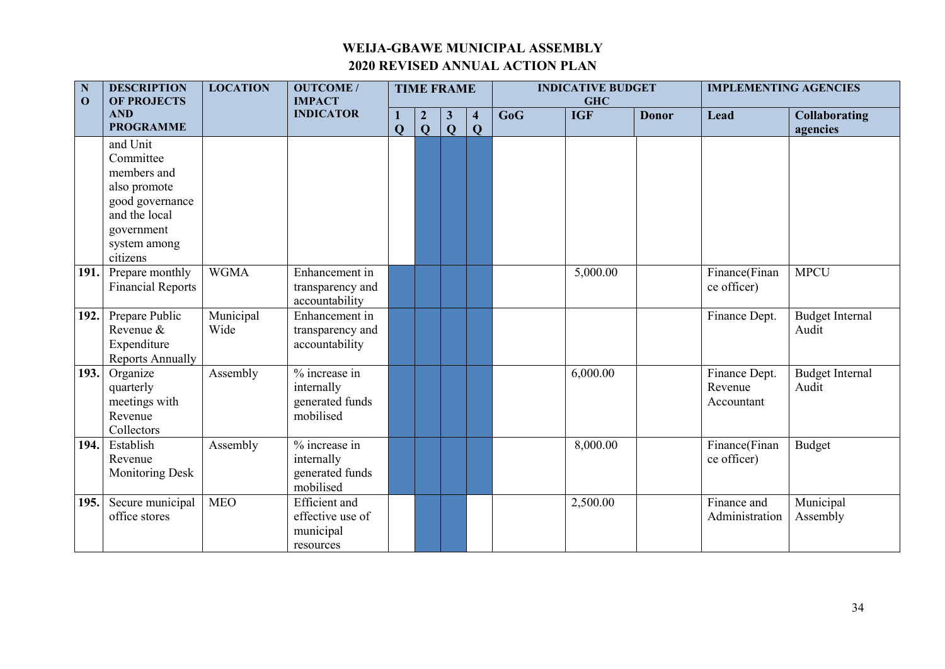| ${\bf N}$<br>$\mathbf{O}$ | <b>DESCRIPTION</b><br><b>OF PROJECTS</b>                                                                               | <b>LOCATION</b>   | <b>OUTCOME/</b><br><b>IMPACT</b>                                   |              | <b>TIME FRAME</b>                  |                              |                                         |     | <b>INDICATIVE BUDGET</b><br><b>GHC</b> |              | <b>IMPLEMENTING AGENCIES</b>           |                                  |
|---------------------------|------------------------------------------------------------------------------------------------------------------------|-------------------|--------------------------------------------------------------------|--------------|------------------------------------|------------------------------|-----------------------------------------|-----|----------------------------------------|--------------|----------------------------------------|----------------------------------|
|                           | <b>AND</b><br><b>PROGRAMME</b>                                                                                         |                   | <b>INDICATOR</b>                                                   | $\mathbf{Q}$ | $\boldsymbol{2}$<br>$\overline{Q}$ | $\mathbf{3}$<br>$\mathbf{Q}$ | $\overline{\mathbf{4}}$<br>$\mathbf{Q}$ | GoG | <b>IGF</b>                             | <b>Donor</b> | Lead                                   | <b>Collaborating</b><br>agencies |
|                           | and Unit<br>Committee<br>members and<br>also promote<br>good governance<br>and the local<br>government<br>system among |                   |                                                                    |              |                                    |                              |                                         |     |                                        |              |                                        |                                  |
| 191.                      | citizens<br>Prepare monthly<br><b>Financial Reports</b>                                                                | <b>WGMA</b>       | Enhancement in<br>transparency and<br>accountability               |              |                                    |                              |                                         |     | 5,000.00                               |              | Finance(Finan<br>ce officer)           | <b>MPCU</b>                      |
| 192.                      | Prepare Public<br>Revenue &<br>Expenditure<br><b>Reports Annually</b>                                                  | Municipal<br>Wide | Enhancement in<br>transparency and<br>accountability               |              |                                    |                              |                                         |     |                                        |              | Finance Dept.                          | <b>Budget Internal</b><br>Audit  |
| 193.                      | Organize<br>quarterly<br>meetings with<br>Revenue<br>Collectors                                                        | Assembly          | % increase in<br>internally<br>generated funds<br>mobilised        |              |                                    |                              |                                         |     | 6,000.00                               |              | Finance Dept.<br>Revenue<br>Accountant | <b>Budget Internal</b><br>Audit  |
| 194.                      | Establish<br>Revenue<br><b>Monitoring Desk</b>                                                                         | Assembly          | % increase in<br>internally<br>generated funds<br>mobilised        |              |                                    |                              |                                         |     | 8,000.00                               |              | Finance(Finan<br>ce officer)           | <b>Budget</b>                    |
| 195.                      | Secure municipal<br>office stores                                                                                      | <b>MEO</b>        | <b>Efficient</b> and<br>effective use of<br>municipal<br>resources |              |                                    |                              |                                         |     | 2,500.00                               |              | Finance and<br>Administration          | Municipal<br>Assembly            |